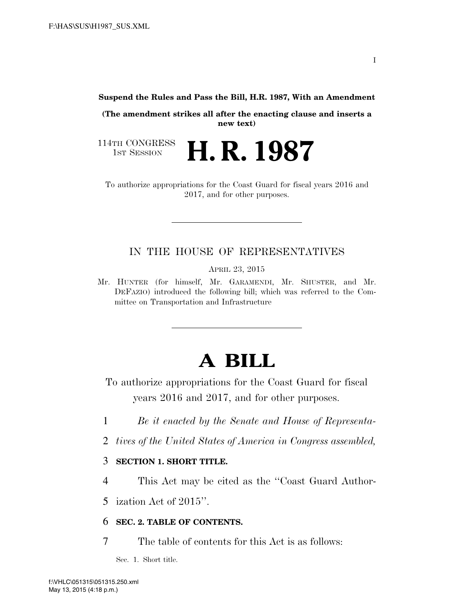**Suspend the Rules and Pass the Bill, H.R. 1987, With an Amendment** 

**(The amendment strikes all after the enacting clause and inserts a new text)** 

114TH CONGRESS<br>1st Session 1ST SESSION **H. R. 1987**

To authorize appropriations for the Coast Guard for fiscal years 2016 and 2017, and for other purposes.

### IN THE HOUSE OF REPRESENTATIVES

APRIL 23, 2015

Mr. HUNTER (for himself, Mr. GARAMENDI, Mr. SHUSTER, and Mr. DEFAZIO) introduced the following bill; which was referred to the Committee on Transportation and Infrastructure

# **A BILL**

To authorize appropriations for the Coast Guard for fiscal years 2016 and 2017, and for other purposes.

- 1 *Be it enacted by the Senate and House of Representa-*
- 2 *tives of the United States of America in Congress assembled,*

### 3 **SECTION 1. SHORT TITLE.**

4 This Act may be cited as the ''Coast Guard Author-

5 ization Act of 2015''.

#### 6 **SEC. 2. TABLE OF CONTENTS.**

7 The table of contents for this Act is as follows:

Sec. 1. Short title.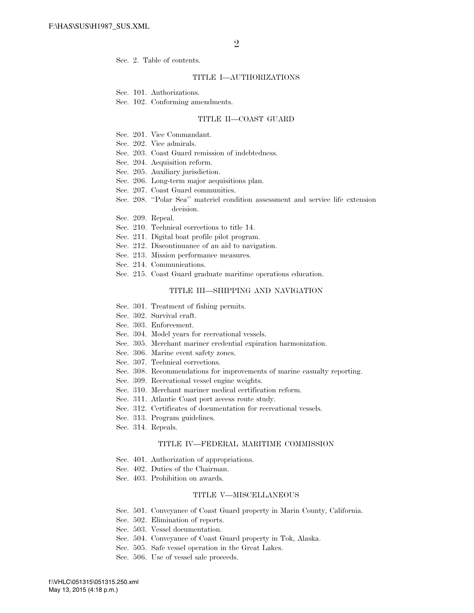Sec. 2. Table of contents.

#### TITLE I—AUTHORIZATIONS

Sec. 101. Authorizations.

Sec. 102. Conforming amendments.

#### TITLE II—COAST GUARD

- Sec. 201. Vice Commandant.
- Sec. 202. Vice admirals.
- Sec. 203. Coast Guard remission of indebtedness.
- Sec. 204. Acquisition reform.
- Sec. 205. Auxiliary jurisdiction.
- Sec. 206. Long-term major acquisitions plan.
- Sec. 207. Coast Guard communities.
- Sec. 208. ''Polar Sea'' materiel condition assessment and service life extension decision.
- Sec. 209. Repeal.
- Sec. 210. Technical corrections to title 14.
- Sec. 211. Digital boat profile pilot program.
- Sec. 212. Discontinuance of an aid to navigation.
- Sec. 213. Mission performance measures.
- Sec. 214. Communications.
- Sec. 215. Coast Guard graduate maritime operations education.

#### TITLE III—SHIPPING AND NAVIGATION

- Sec. 301. Treatment of fishing permits.
- Sec. 302. Survival craft.
- Sec. 303. Enforcement.
- Sec. 304. Model years for recreational vessels.
- Sec. 305. Merchant mariner credential expiration harmonization.
- Sec. 306. Marine event safety zones.
- Sec. 307. Technical corrections.
- Sec. 308. Recommendations for improvements of marine casualty reporting.
- Sec. 309. Recreational vessel engine weights.
- Sec. 310. Merchant mariner medical certification reform.
- Sec. 311. Atlantic Coast port access route study.
- Sec. 312. Certificates of documentation for recreational vessels.
- Sec. 313. Program guidelines.
- Sec. 314. Repeals.

#### TITLE IV—FEDERAL MARITIME COMMISSION

- Sec. 401. Authorization of appropriations.
- Sec. 402. Duties of the Chairman.
- Sec. 403. Prohibition on awards.

#### TITLE V—MISCELLANEOUS

- Sec. 501. Conveyance of Coast Guard property in Marin County, California.
- Sec. 502. Elimination of reports.
- Sec. 503. Vessel documentation.
- Sec. 504. Conveyance of Coast Guard property in Tok, Alaska.
- Sec. 505. Safe vessel operation in the Great Lakes.
- Sec. 506. Use of vessel sale proceeds.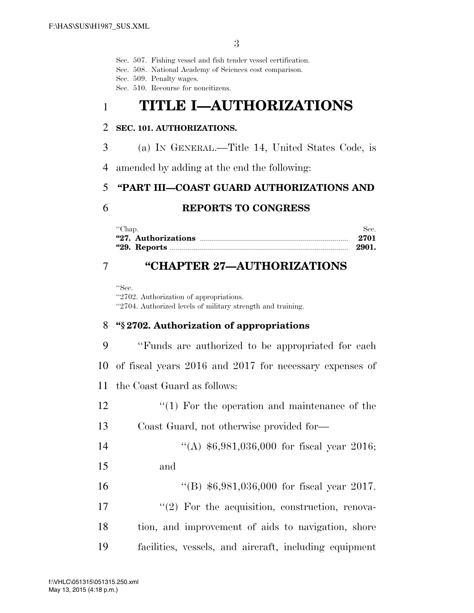Sec. 507. Fishing vessel and fish tender vessel certification.

Sec. 508. National Academy of Sciences cost comparison.

Sec. 509. Penalty wages.

Sec. 510. Recourse for noncitizens.

# 1 **TITLE I—AUTHORIZATIONS**

### 2 **SEC. 101. AUTHORIZATIONS.**

3 (a) IN GENERAL.—Title 14, United States Code, is

4 amended by adding at the end the following:

### 5 **''PART III—COAST GUARD AUTHORIZATIONS AND**

### 6 **REPORTS TO CONGRESS**

| "Chap. | Sec. |
|--------|------|
|        | 2701 |
|        |      |

## 7 **''CHAPTER 27—AUTHORIZATIONS**

''Sec. ''2702. Authorization of appropriations. ''2704. Authorized levels of military strength and training.

### 8 **''§ 2702. Authorization of appropriations**

 ''Funds are authorized to be appropriated for each of fiscal years 2016 and 2017 for necessary expenses of the Coast Guard as follows:  $\frac{1}{2}$  (1) For the operation and maintenance of the

13 Coast Guard, not otherwise provided for—

14 "(A) \$6,981,036,000 for fiscal year 2016;

15 and

16 "(B) \$6,981,036,000 for fiscal year 2017.

- 17  $\frac{1}{2}$  For the acquisition, construction, renova-
- 18 tion, and improvement of aids to navigation, shore
- 19 facilities, vessels, and aircraft, including equipment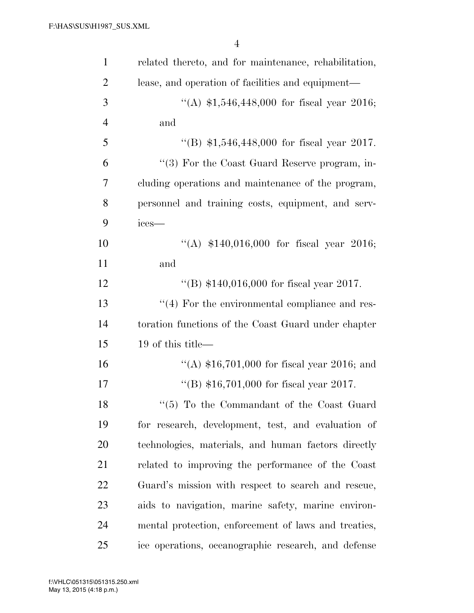| $\mathbf{1}$   | related thereto, and for maintenance, rehabilitation, |
|----------------|-------------------------------------------------------|
| $\overline{2}$ | lease, and operation of facilities and equipment—     |
| 3              | "(A) $$1,546,448,000$ for fiscal year 2016;           |
| $\overline{4}$ | and                                                   |
| 5              | "(B) $$1,546,448,000$ for fiscal year 2017.           |
| 6              | $\lq(3)$ For the Coast Guard Reserve program, in-     |
| 7              | cluding operations and maintenance of the program,    |
| 8              | personnel and training costs, equipment, and serv-    |
| 9              | ices-                                                 |
| 10             | "(A) $$140,016,000$ for fiscal year 2016;             |
| 11             | and                                                   |
| 12             | "(B) $$140,016,000$ for fiscal year 2017.             |
| 13             | $``(4)$ For the environmental compliance and res-     |
| 14             | toration functions of the Coast Guard under chapter   |
| 15             | 19 of this title—                                     |
| 16             | "(A) $$16,701,000$ for fiscal year 2016; and          |
| 17             | "(B) $$16,701,000$ for fiscal year 2017.              |
| 18             | $\lq(5)$ To the Commandant of the Coast Guard         |
| 19             | for research, development, test, and evaluation of    |
| 20             | technologies, materials, and human factors directly   |
| 21             | related to improving the performance of the Coast     |
| 22             | Guard's mission with respect to search and rescue,    |
| 23             | aids to navigation, marine safety, marine environ-    |
| 24             | mental protection, enforcement of laws and treaties,  |
| 25             | ice operations, oceanographic research, and defense   |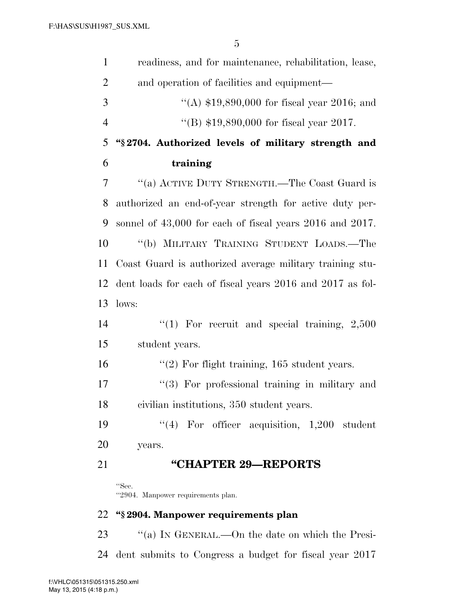| $\mathbf{1}$   | readiness, and for maintenance, rehabilitation, lease,    |
|----------------|-----------------------------------------------------------|
| $\overline{2}$ | and operation of facilities and equipment—                |
| 3              | "(A) $$19,890,000$ for fiscal year 2016; and              |
| $\overline{4}$ | "(B) \$19,890,000 for fiscal year 2017.                   |
| 5              | "§2704. Authorized levels of military strength and        |
| 6              | training                                                  |
| 7              | "(a) ACTIVE DUTY STRENGTH.—The Coast Guard is             |
| 8              | authorized an end-of-year strength for active duty per-   |
| 9              | sonnel of 43,000 for each of fiscal years 2016 and 2017.  |
| 10             | "(b) MILITARY TRAINING STUDENT LOADS.-The                 |
| 11             | Coast Guard is authorized average military training stu-  |
| 12             | dent loads for each of fiscal years 2016 and 2017 as fol- |
| 13             | lows:                                                     |
| 14             | "(1) For recruit and special training, $2,500$            |
| 15             | student years.                                            |
| 16             | " $(2)$ For flight training, 165 student years.           |
| 17             | $\lq(3)$ For professional training in military and        |
| 18             | civilian institutions, 350 student years.                 |
| 19             | $(4)$ For officer acquisition, 1,200 student              |
| 20             | years.                                                    |
| 21             | "CHAPTER 29-REPORTS                                       |
|                | "Sec.<br>"2904. Manpower requirements plan.               |
| 22             | "§2904. Manpower requirements plan                        |
| 23             | "(a) IN GENERAL.—On the date on which the Presi-          |

dent submits to Congress a budget for fiscal year 2017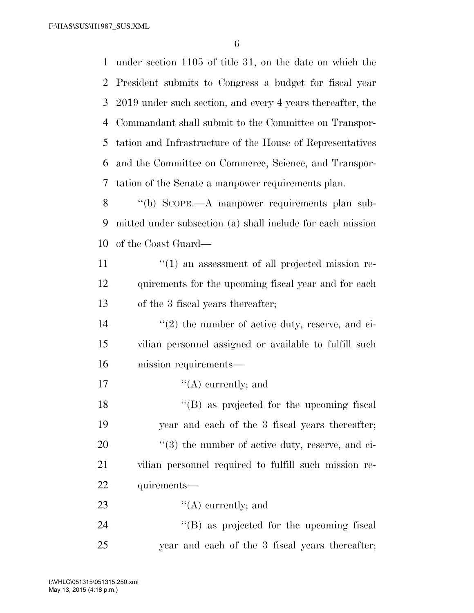F:\HAS\SUS\H1987\_SUS.XML

6

 under section 1105 of title 31, on the date on which the President submits to Congress a budget for fiscal year 2019 under such section, and every 4 years thereafter, the Commandant shall submit to the Committee on Transpor- tation and Infrastructure of the House of Representatives and the Committee on Commerce, Science, and Transpor-tation of the Senate a manpower requirements plan.

8 "(b) SCOPE.—A manpower requirements plan sub-9 mitted under subsection (a) shall include for each mission 10 of the Coast Guard—

- 11  $\frac{1}{2}$  (1) an assessment of all projected mission re-12 quirements for the upcoming fiscal year and for each 13 of the 3 fiscal years thereafter;
- 14 ''(2) the number of active duty, reserve, and ci-15 vilian personnel assigned or available to fulfill such 16 mission requirements—
- 17  $"({\rm A})$  currently; and

18 ''(B) as projected for the upcoming fiscal year and each of the 3 fiscal years thereafter;  $\frac{u(3)}{2}$  the number of active duty, reserve, and ci- vilian personnel required to fulfill such mission re-quirements—

23  $\qquad \qquad \text{(A) currently; and}$ 

24 ''(B) as projected for the upcoming fiscal 25 year and each of the 3 fiscal years thereafter;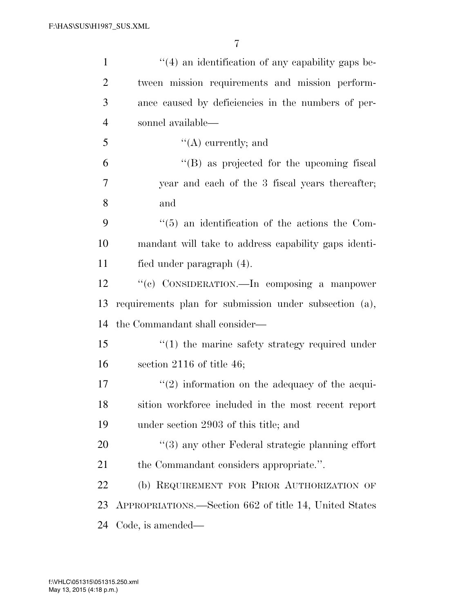| $\mathbf{1}$   | $\lq(4)$ an identification of any capability gaps be-      |
|----------------|------------------------------------------------------------|
| $\overline{2}$ | tween mission requirements and mission perform-            |
| 3              | ance caused by deficiencies in the numbers of per-         |
| $\overline{4}$ | sonnel available—                                          |
| 5              | $\lq\lq$ currently; and                                    |
| 6              | $\lq\lq (B)$ as projected for the upcoming fiscal          |
| 7              | year and each of the 3 fiscal years thereafter;            |
| 8              | and                                                        |
| 9              | $\cdot\cdot$ (5) an identification of the actions the Com- |
| 10             | mandant will take to address capability gaps identi-       |
| 11             | fied under paragraph (4).                                  |
| 12             | "(c) CONSIDERATION.—In composing a manpower                |
|                |                                                            |
| 13             | requirements plan for submission under subsection (a),     |
| 14             | the Commandant shall consider—                             |
| 15             | $"(1)$ the marine safety strategy required under           |
| 16             | section $2116$ of title 46;                                |
| 17             | $\lq(2)$ information on the adequacy of the acqui-         |
| 18             | sition workforce included in the most recent report        |
| 19             | under section 2903 of this title; and                      |
| 20             | $\lq(3)$ any other Federal strategic planning effort       |
| 21             | the Commandant considers appropriate.".                    |
| 22             | (b) REQUIREMENT FOR PRIOR AUTHORIZATION OF                 |
| 23             | APPROPRIATIONS.—Section 662 of title 14, United States     |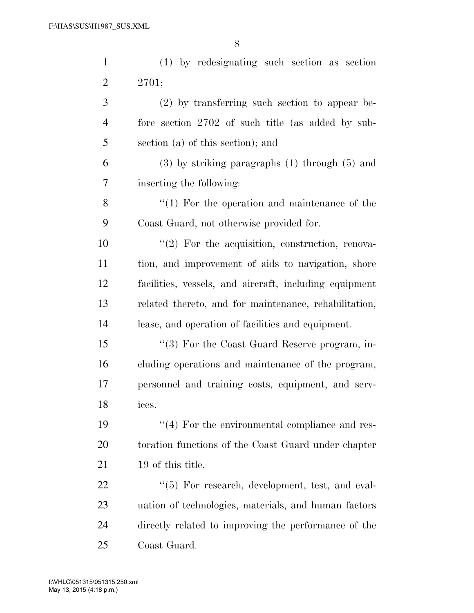| $\mathbf{1}$   | (1) by redesignating such section as section           |
|----------------|--------------------------------------------------------|
| $\overline{2}$ | 2701;                                                  |
| 3              | $(2)$ by transferring such section to appear be-       |
| 4              | fore section 2702 of such title (as added by sub-      |
| 5              | section (a) of this section); and                      |
| 6              | $(3)$ by striking paragraphs $(1)$ through $(5)$ and   |
| 7              | inserting the following:                               |
| 8              | $\lq(1)$ For the operation and maintenance of the      |
| 9              | Coast Guard, not otherwise provided for.               |
| 10             | $\lq(2)$ For the acquisition, construction, renova-    |
| 11             | tion, and improvement of aids to navigation, shore     |
| 12             | facilities, vessels, and aircraft, including equipment |
| 13             | related thereto, and for maintenance, rehabilitation,  |
| 14             | lease, and operation of facilities and equipment.      |
| 15             | "(3) For the Coast Guard Reserve program, in-          |
| 16             | cluding operations and maintenance of the program,     |
| 17             | personnel and training costs, equipment, and serv-     |
| 18             | ices.                                                  |
| 19             | $\lq(4)$ For the environmental compliance and res-     |
| 20             | toration functions of the Coast Guard under chapter    |
| 21             | 19 of this title.                                      |
| 22             | $\lq(5)$ For research, development, test, and eval-    |
| 23             | uation of technologies, materials, and human factors   |
| 24             | directly related to improving the performance of the   |
| 25             | Coast Guard.                                           |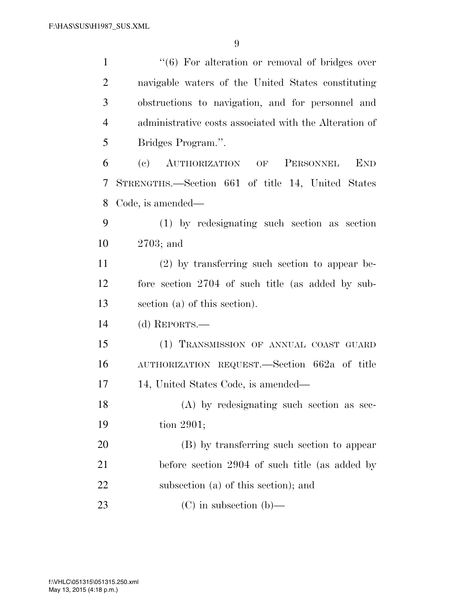| $\mathbf{1}$   | "(6) For alteration or removal of bridges over         |
|----------------|--------------------------------------------------------|
| $\overline{2}$ | navigable waters of the United States constituting     |
| 3              | obstructions to navigation, and for personnel and      |
| $\overline{4}$ | administrative costs associated with the Alteration of |
| 5              | Bridges Program.".                                     |
| 6              | AUTHORIZATION OF<br><b>END</b><br>(e)<br>PERSONNEL     |
| 7              | STRENGTHS.—Section 661 of title 14, United States      |
| 8              | Code, is amended—                                      |
| 9              | (1) by redesignating such section as section           |
| 10             | $2703$ ; and                                           |
| 11             | $(2)$ by transferring such section to appear be-       |
| 12             | fore section 2704 of such title (as added by sub-      |
| 13             | section (a) of this section).                          |
| 14             | (d) REPORTS.—                                          |
| 15             | (1) TRANSMISSION OF ANNUAL COAST GUARD                 |
| 16             | AUTHORIZATION REQUEST.—Section 662a of title           |
| 17             | 14, United States Code, is amended—                    |
| 18             | (A) by redesignating such section as sec-              |
| 19             | tion 2901;                                             |
| 20             | (B) by transferring such section to appear             |
| 21             | before section 2904 of such title (as added by         |
| 22             | subsection (a) of this section); and                   |
| 23             | $(C)$ in subsection $(b)$ —                            |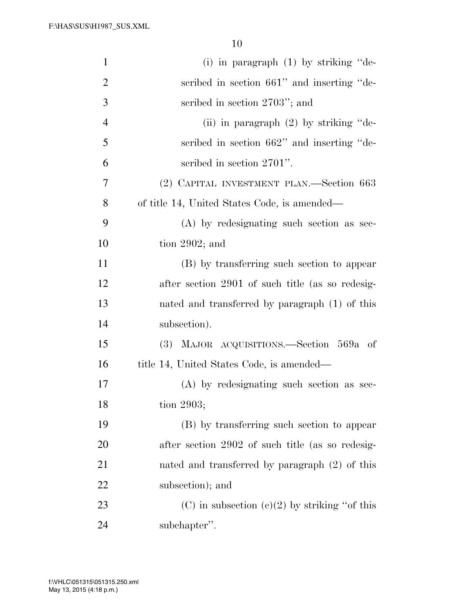| $\mathbf{1}$   | (i) in paragraph $(1)$ by striking "de-          |
|----------------|--------------------------------------------------|
| $\overline{2}$ | scribed in section 661" and inserting "de-       |
| 3              | scribed in section 2703"; and                    |
| $\overline{4}$ | (ii) in paragraph $(2)$ by striking "de-         |
| 5              | scribed in section 662" and inserting "de-       |
| 6              | scribed in section 2701".                        |
| 7              | (2) CAPITAL INVESTMENT PLAN.—Section 663         |
| 8              | of title 14, United States Code, is amended—     |
| 9              | (A) by redesignating such section as sec-        |
| 10             | tion $2902$ ; and                                |
| 11             | (B) by transferring such section to appear       |
| 12             | after section 2901 of such title (as so redesig- |
| 13             | nated and transferred by paragraph (1) of this   |
| 14             | subsection).                                     |
| 15             | (3) MAJOR ACQUISITIONS.—Section 569a of          |
| 16             | title 14, United States Code, is amended—        |
| 17             | (A) by redesignating such section as sec-        |
| 18             | tion 2903;                                       |
| 19             | (B) by transferring such section to appear       |
| 20             | after section 2902 of such title (as so redesig- |
| 21             | nated and transferred by paragraph (2) of this   |
| 22             | subsection); and                                 |
| 23             | (C) in subsection (c)(2) by striking "of this    |
| 24             | subchapter".                                     |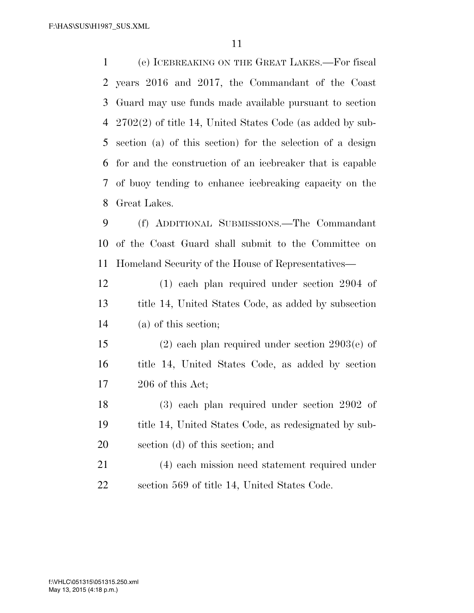F:\HAS\SUS\H1987\_SUS.XML

 (e) ICEBREAKING ON THE GREAT LAKES.—For fiscal years 2016 and 2017, the Commandant of the Coast Guard may use funds made available pursuant to section 2702(2) of title 14, United States Code (as added by sub- section (a) of this section) for the selection of a design for and the construction of an icebreaker that is capable of buoy tending to enhance icebreaking capacity on the Great Lakes.

 (f) ADDITIONAL SUBMISSIONS.—The Commandant of the Coast Guard shall submit to the Committee on Homeland Security of the House of Representatives—

 (1) each plan required under section 2904 of title 14, United States Code, as added by subsection (a) of this section;

 (2) each plan required under section 2903(e) of title 14, United States Code, as added by section 206 of this Act;

 (3) each plan required under section 2902 of title 14, United States Code, as redesignated by sub-section (d) of this section; and

 (4) each mission need statement required under section 569 of title 14, United States Code.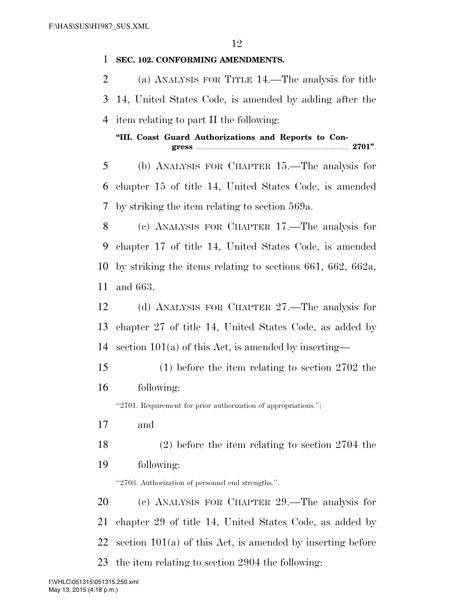| 1  | SEC. 102. CONFORMING AMENDMENTS.                                |
|----|-----------------------------------------------------------------|
| 2  | (a) ANALYSIS FOR TITLE 14.—The analysis for title               |
| 3  | 14, United States Code, is amended by adding after the          |
| 4  | item relating to part II the following:                         |
|    | "III. Coast Guard Authorizations and Reports to Con-            |
|    |                                                                 |
| 5  | (b) ANALYSIS FOR CHAPTER 15.—The analysis for                   |
| 6  | chapter 15 of title 14, United States Code, is amended          |
| 7  | by striking the item relating to section 569a.                  |
| 8  | (c) ANALYSIS FOR CHAPTER 17.—The analysis for                   |
| 9  | chapter 17 of title 14, United States Code, is amended          |
| 10 | by striking the items relating to sections 661, 662, 662a,      |
| 11 | and 663.                                                        |
| 12 | (d) ANALYSIS FOR CHAPTER 27.—The analysis for                   |
| 13 | chapter 27 of title 14, United States Code, as added by         |
| 14 | section $101(a)$ of this Act, is amended by inserting—          |
| 15 | $(1)$ before the item relating to section 2702 the              |
| 16 | following:                                                      |
|    | "2701. Requirement for prior authorization of appropriations."; |
| 17 | and                                                             |
| 18 | $(2)$ before the item relating to section 2704 the              |
| 19 | following:                                                      |
|    | "2703. Authorization of personnel end strengths.".              |
| 20 | (e) ANALYSIS FOR CHAPTER 29.—The analysis for                   |
| 21 | chapter 29 of title 14, United States Code, as added by         |
| 22 | section $101(a)$ of this Act, is amended by inserting before    |

the item relating to section 2904 the following:

May 13, 2015 (4:18 p.m.) f:\VHLC\051315\051315.250.xml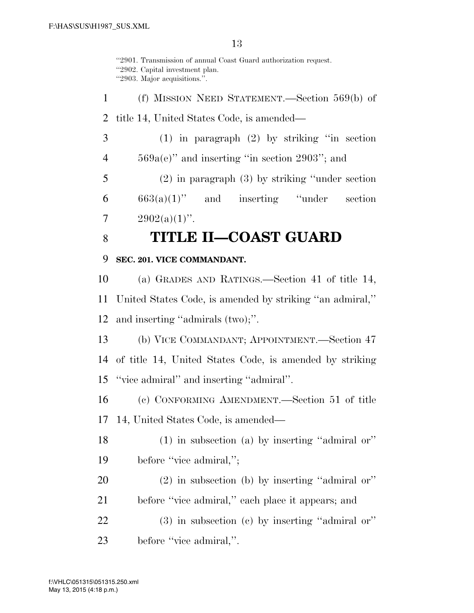''2901. Transmission of annual Coast Guard authorization request. ''2902. Capital investment plan. ''2903. Major acquisitions.''.

 (f) MISSION NEED STATEMENT.—Section 569(b) of title 14, United States Code, is amended— (1) in paragraph (2) by striking ''in section 569a(e)'' and inserting ''in section 2903''; and (2) in paragraph (3) by striking ''under section  $6 \qquad 663(a)(1)$ " and inserting "under section  $2902(a)(1)$ ".

# **TITLE II—COAST GUARD**

### **SEC. 201. VICE COMMANDANT.**

 (a) GRADES AND RATINGS.—Section 41 of title 14, United States Code, is amended by striking ''an admiral,'' and inserting ''admirals (two);''.

 (b) VICE COMMANDANT; APPOINTMENT.—Section 47 of title 14, United States Code, is amended by striking ''vice admiral'' and inserting ''admiral''.

 (c) CONFORMING AMENDMENT.—Section 51 of title 14, United States Code, is amended—

- (1) in subsection (a) by inserting ''admiral or''
- 19 before "vice admiral,";
- (2) in subsection (b) by inserting ''admiral or'' before ''vice admiral,'' each place it appears; and
- (3) in subsection (c) by inserting ''admiral or'' before ''vice admiral,''.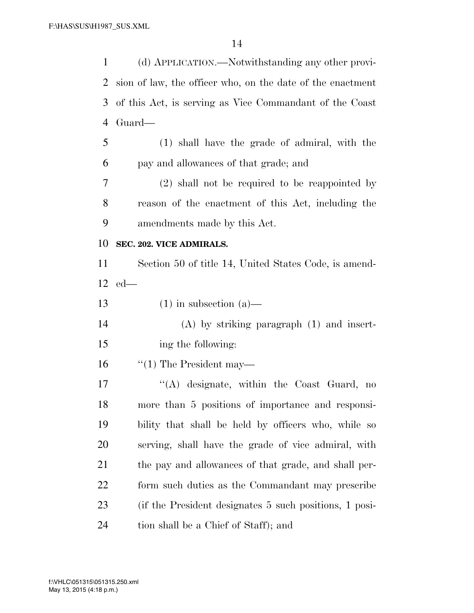| 1              | (d) APPLICATION.—Notwithstanding any other provi-          |
|----------------|------------------------------------------------------------|
| 2              | sion of law, the officer who, on the date of the enactment |
| 3              | of this Act, is serving as Vice Commandant of the Coast    |
| $\overline{4}$ | Guard—                                                     |
| 5              | (1) shall have the grade of admiral, with the              |
| 6              | pay and allowances of that grade; and                      |
| 7              | $(2)$ shall not be required to be reappointed by           |
| 8              | reason of the enactment of this Act, including the         |
| 9              | amendments made by this Act.                               |
| 10             | SEC. 202. VICE ADMIRALS.                                   |
| 11             | Section 50 of title 14, United States Code, is amend-      |
| 12             | $ed$ —                                                     |
|                |                                                            |
| 13             | $(1)$ in subsection $(a)$ —                                |
| 14             | $(A)$ by striking paragraph $(1)$ and insert-              |
| 15             | ing the following:                                         |
| 16             | $\lq(1)$ The President may—                                |
| 17             | "(A) designate, within the Coast Guard, no                 |
| 18             | more than 5 positions of importance and responsi-          |
| 19             | bility that shall be held by officers who, while so        |
| 20             | serving, shall have the grade of vice admiral, with        |
| 21             | the pay and allowances of that grade, and shall per-       |
| 22             | form such duties as the Commandant may prescribe           |
| 23             | (if the President designates 5 such positions, 1 posi-     |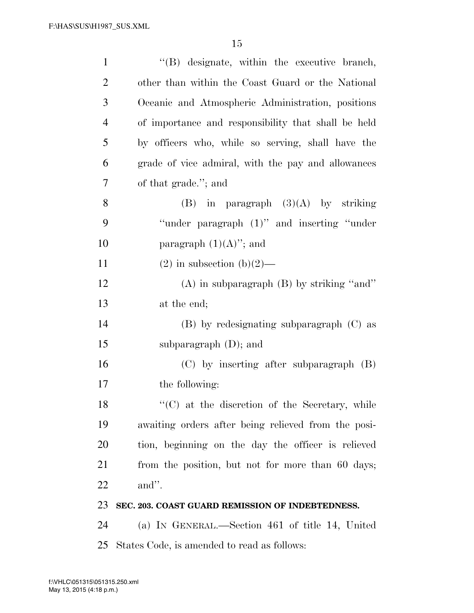| $\mathbf{1}$   | "(B) designate, within the executive branch,        |
|----------------|-----------------------------------------------------|
| $\overline{2}$ | other than within the Coast Guard or the National   |
| 3              | Oceanic and Atmospheric Administration, positions   |
| 4              | of importance and responsibility that shall be held |
| 5              | by officers who, while so serving, shall have the   |
| 6              | grade of vice admiral, with the pay and allowances  |
| 7              | of that grade."; and                                |
| 8              | $(B)$ in paragraph $(3)(A)$ by striking             |
| 9              | "under paragraph (1)" and inserting "under"         |
| 10             | paragraph $(1)(A)$ "; and                           |
| 11             | $(2)$ in subsection $(b)(2)$ —                      |
| 12             | $(A)$ in subparagraph $(B)$ by striking "and"       |
| 13             | at the end;                                         |
| 14             | $(B)$ by redesignating subparagraph $(C)$ as        |
| 15             | subparagraph $(D)$ ; and                            |
| 16             | $(C)$ by inserting after subparagraph $(B)$         |
| 17             | the following:                                      |
| 18             | "(C) at the discretion of the Secretary, while      |
| 19             | awaiting orders after being relieved from the posi- |
| 20             | tion, beginning on the day the officer is relieved  |
| 21             | from the position, but not for more than 60 days;   |
| 22             | and".                                               |
| 23             | SEC. 203. COAST GUARD REMISSION OF INDEBTEDNESS.    |
| 24             | (a) IN GENERAL.—Section 461 of title 14, United     |
| 25             | States Code, is amended to read as follows:         |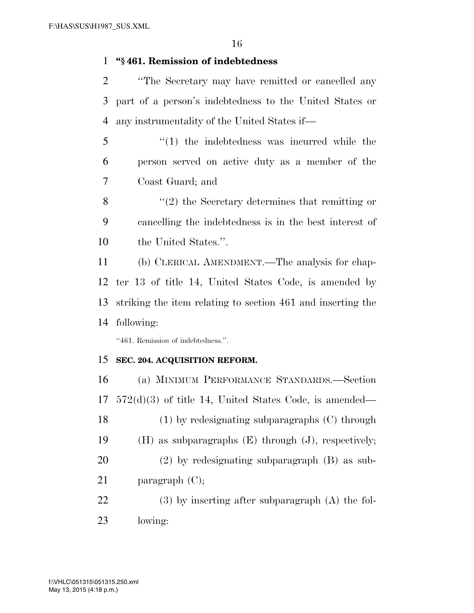### **''§ 461. Remission of indebtedness**

- ''The Secretary may have remitted or cancelled any part of a person's indebtedness to the United States or any instrumentality of the United States if—
- ''(1) the indebtedness was incurred while the person served on active duty as a member of the Coast Guard; and
- ''(2) the Secretary determines that remitting or cancelling the indebtedness is in the best interest of the United States.''.
- (b) CLERICAL AMENDMENT.—The analysis for chap- ter 13 of title 14, United States Code, is amended by striking the item relating to section 461 and inserting the following:

''461. Remission of indebtedness.''.

### **SEC. 204. ACQUISITION REFORM.**

 (a) MINIMUM PERFORMANCE STANDARDS.—Section 572(d)(3) of title 14, United States Code, is amended— (1) by redesignating subparagraphs (C) through (H) as subparagraphs (E) through (J), respectively; (2) by redesignating subparagraph (B) as sub-21 paragraph (C); (3) by inserting after subparagraph (A) the fol-

lowing: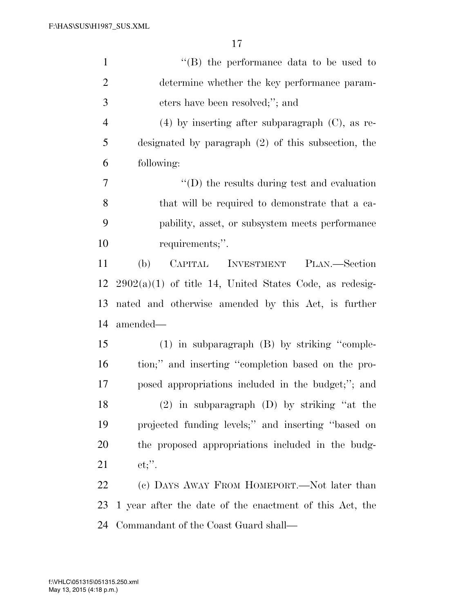| $\mathbf{1}$   | "(B) the performance data to be used to                   |
|----------------|-----------------------------------------------------------|
| $\overline{2}$ | determine whether the key performance param-              |
| 3              | eters have been resolved;"; and                           |
| $\overline{4}$ | $(4)$ by inserting after subparagraph $(C)$ , as re-      |
| 5              | designated by paragraph $(2)$ of this subsection, the     |
| 6              | following:                                                |
| 7              | $\lq\lq$ (D) the results during test and evaluation       |
| 8              | that will be required to demonstrate that a ca-           |
| 9              | pability, asset, or subsystem meets performance           |
| 10             | requirements;".                                           |
| 11             | CAPITAL INVESTMENT<br>(b)<br>PLAN.—Section                |
| 12             | $2902(a)(1)$ of title 14, United States Code, as redesig- |
| 13             | nated and otherwise amended by this Act, is further       |
| 14             | amended—                                                  |
| 15             | $(1)$ in subparagraph $(B)$ by striking "comple-          |
| 16             | tion;" and inserting "completion based on the pro-        |
| 17             | posed appropriations included in the budget;"; and        |
| 18             | $(2)$ in subparagraph $(D)$ by striking "at the           |
| 19             | projected funding levels;" and inserting "based on        |
| 20             | the proposed appropriations included in the budg-         |
| 21             | $et;$ ".                                                  |
| <u>22</u>      | (c) DAYS AWAY FROM HOMEPORT.—Not later than               |
| 23             | 1 year after the date of the enactment of this Act, the   |
| 24             | Commandant of the Coast Guard shall—                      |

May 13, 2015 (4:18 p.m.) f:\VHLC\051315\051315.250.xml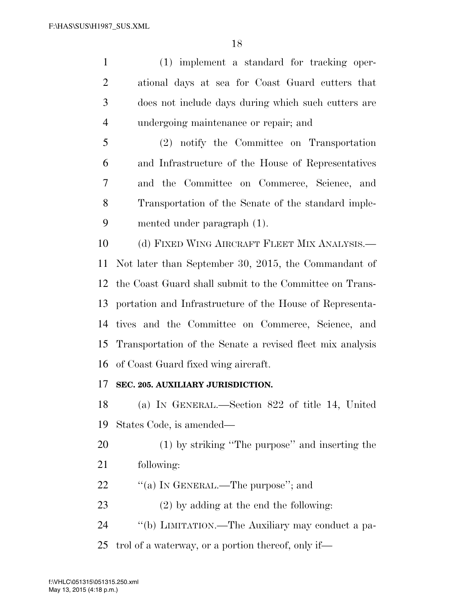(1) implement a standard for tracking oper- ational days at sea for Coast Guard cutters that does not include days during which such cutters are undergoing maintenance or repair; and

 (2) notify the Committee on Transportation and Infrastructure of the House of Representatives and the Committee on Commerce, Science, and Transportation of the Senate of the standard imple-mented under paragraph (1).

10 (d) FIXED WING AIRCRAFT FLEET MIX ANALYSIS.— Not later than September 30, 2015, the Commandant of the Coast Guard shall submit to the Committee on Trans- portation and Infrastructure of the House of Representa- tives and the Committee on Commerce, Science, and Transportation of the Senate a revised fleet mix analysis of Coast Guard fixed wing aircraft.

### **SEC. 205. AUXILIARY JURISDICTION.**

 (a) IN GENERAL.—Section 822 of title 14, United States Code, is amended—

- (1) by striking ''The purpose'' and inserting the
- following:
- 22 ""(a) In GENERAL.—The purpose"; and
- (2) by adding at the end the following:
- ''(b) LIMITATION.—The Auxiliary may conduct a pa-
- trol of a waterway, or a portion thereof, only if—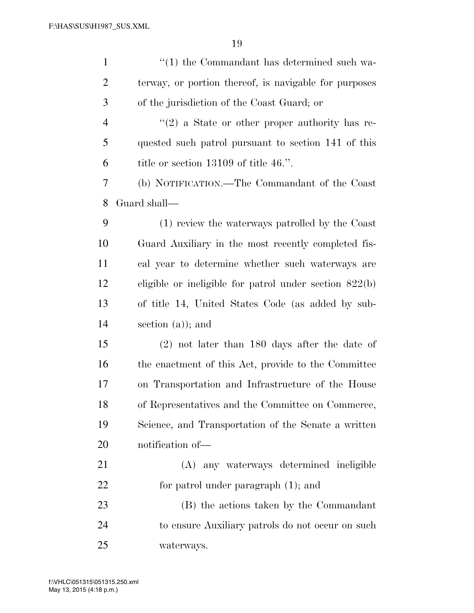| $\mathbf{1}$   | $\lq(1)$ the Commandant has determined such wa-          |
|----------------|----------------------------------------------------------|
| $\overline{2}$ | terway, or portion thereof, is navigable for purposes    |
| 3              | of the jurisdiction of the Coast Guard; or               |
| $\overline{4}$ | $\lq(2)$ a State or other proper authority has re-       |
| 5              | quested such patrol pursuant to section 141 of this      |
| 6              | title or section $13109$ of title 46.".                  |
| $\tau$         | (b) NOTIFICATION.—The Commandant of the Coast            |
| 8              | Guard shall—                                             |
| 9              | (1) review the waterways patrolled by the Coast          |
| 10             | Guard Auxiliary in the most recently completed fis-      |
| 11             | cal year to determine whether such waterways are         |
| 12             | eligible or ineligible for patrol under section $822(b)$ |
| 13             | of title 14, United States Code (as added by sub-        |
| 14             | section $(a)$ ; and                                      |
| 15             | $(2)$ not later than 180 days after the date of          |
| 16             | the enactment of this Act, provide to the Committee      |
| 17             | on Transportation and Infrastructure of the House        |
| 18             | of Representatives and the Committee on Commerce,        |
| 19             | Science, and Transportation of the Senate a written      |
| 20             | notification of-                                         |
| 21             | (A) any waterways determined ineligible                  |
| 22             | for patrol under paragraph $(1)$ ; and                   |
| 23             | (B) the actions taken by the Commandant                  |
| 24             | to ensure Auxiliary patrols do not occur on such         |
| 25             | waterways.                                               |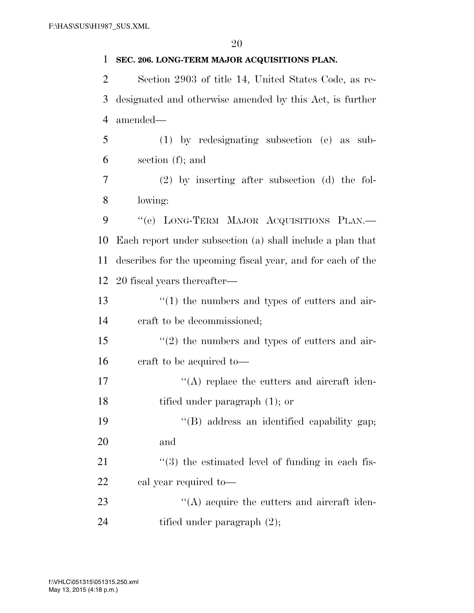**SEC. 206. LONG-TERM MAJOR ACQUISITIONS PLAN.**  Section 2903 of title 14, United States Code, as re- designated and otherwise amended by this Act, is further amended— (1) by redesignating subsection (e) as sub- section (f); and (2) by inserting after subsection (d) the fol- lowing: 9 "'(e) LONG-TERM MAJOR ACQUISITIONS PLAN.— Each report under subsection (a) shall include a plan that describes for the upcoming fiscal year, and for each of the 20 fiscal years thereafter— 13 ''(1) the numbers and types of cutters and air- craft to be decommissioned; ''(2) the numbers and types of cutters and air- craft to be acquired to—  $\langle (A) \rangle$  replace the cutters and aircraft iden- tified under paragraph (1); or ''(B) address an identified capability gap; and ''(3) the estimated level of funding in each fis- cal year required to— 23 "(A) acquire the cutters and aircraft iden-24 tified under paragraph  $(2)$ ;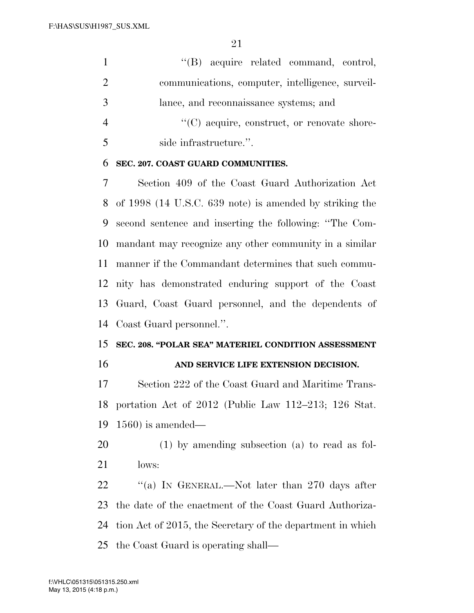$\lq\lq (B)$  acquire related command, control, communications, computer, intelligence, surveil- lance, and reconnaissance systems; and  $"({\rm C})$  acquire, construct, or renovate shore-

side infrastructure.''.

### **SEC. 207. COAST GUARD COMMUNITIES.**

 Section 409 of the Coast Guard Authorization Act of 1998 (14 U.S.C. 639 note) is amended by striking the second sentence and inserting the following: ''The Com- mandant may recognize any other community in a similar manner if the Commandant determines that such commu- nity has demonstrated enduring support of the Coast Guard, Coast Guard personnel, and the dependents of Coast Guard personnel.''.

# **SEC. 208. ''POLAR SEA'' MATERIEL CONDITION ASSESSMENT**

**AND SERVICE LIFE EXTENSION DECISION.** 

 Section 222 of the Coast Guard and Maritime Trans- portation Act of 2012 (Public Law 112–213; 126 Stat. 1560) is amended—

 (1) by amending subsection (a) to read as fol-lows:

22 "(a) IN GENERAL.—Not later than 270 days after the date of the enactment of the Coast Guard Authoriza- tion Act of 2015, the Secretary of the department in which the Coast Guard is operating shall—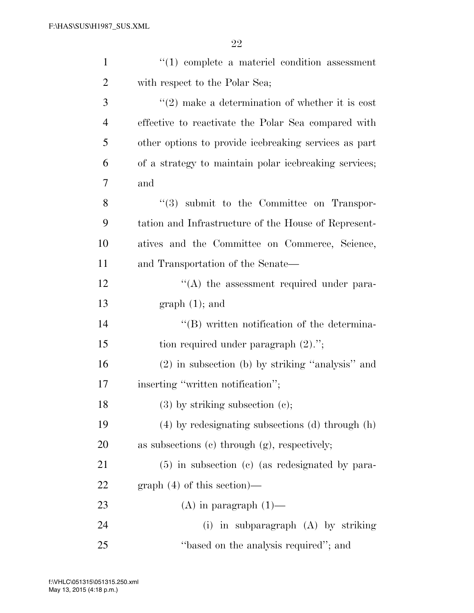| $\mathbf{1}$   | $\lq(1)$ complete a material condition assessment     |
|----------------|-------------------------------------------------------|
| $\overline{2}$ | with respect to the Polar Sea;                        |
| 3              | $\lq(2)$ make a determination of whether it is cost   |
| $\overline{4}$ | effective to reactivate the Polar Sea compared with   |
| 5              | other options to provide icebreaking services as part |
| 6              | of a strategy to maintain polar icebreaking services; |
| 7              | and                                                   |
| 8              | $\lq(3)$ submit to the Committee on Transpor-         |
| 9              | tation and Infrastructure of the House of Represent-  |
| 10             | atives and the Committee on Commerce, Science,        |
| 11             | and Transportation of the Senate—                     |
| 12             | $\lq\lq$ the assessment required under para-          |
| 13             | $graph(1);$ and                                       |
| 14             | $\lq\lq$ written notification of the determina-       |
| 15             | tion required under paragraph $(2)$ .";               |
| 16             | $(2)$ in subsection (b) by striking "analysis" and    |
| 17             | inserting "written notification";                     |
| 18             | $(3)$ by striking subsection $(e)$ ;                  |
| 19             | $(4)$ by redesignating subsections (d) through (h)    |
| 20             | as subsections (c) through $(g)$ , respectively;      |
| 21             | $(5)$ in subsection (c) (as redesignated by para-     |
| 22             | $graph(4)$ of this section)—                          |
| 23             | $(A)$ in paragraph $(1)$ —                            |
| 24             | (i) in subparagraph $(A)$ by striking                 |
| 25             | "based on the analysis required"; and                 |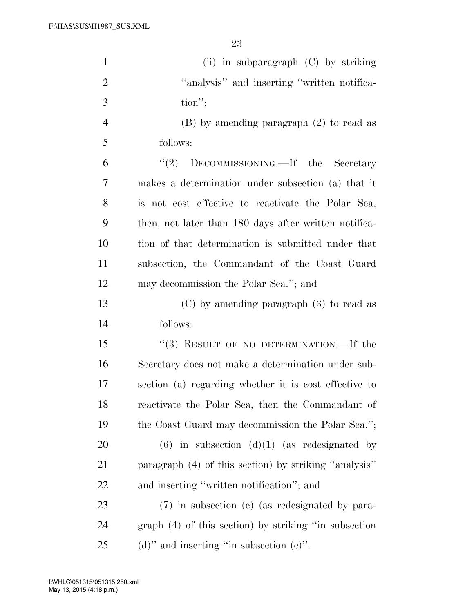| $\mathbf{1}$   | (ii) in subparagraph $(C)$ by striking                |
|----------------|-------------------------------------------------------|
| $\overline{2}$ | "analysis" and inserting "written notifica-           |
| 3              | $\text{tion}''$ ;                                     |
| $\overline{4}$ | $(B)$ by amending paragraph $(2)$ to read as          |
| 5              | follows:                                              |
| 6              | "(2) DECOMMISSIONING.—If the Secretary                |
| 7              | makes a determination under subsection (a) that it    |
| 8              | is not cost effective to reactivate the Polar Sea,    |
| 9              | then, not later than 180 days after written notifica- |
| 10             | tion of that determination is submitted under that    |
| 11             | subsection, the Commandant of the Coast Guard         |
| 12             | may decommission the Polar Sea."; and                 |
| 13             | $(C)$ by amending paragraph $(3)$ to read as          |
| 14             | follows:                                              |
| 15             | "(3) RESULT OF NO DETERMINATION.—If the               |
| 16             | Secretary does not make a determination under sub-    |
| 17             | section (a) regarding whether it is cost effective to |
| 18             | reactivate the Polar Sea, then the Commandant of      |
| 19             | the Coast Guard may decommission the Polar Sea.";     |
| <b>20</b>      | $(6)$ in subsection $(d)(1)$ (as redesignated by      |
| 21             | paragraph (4) of this section) by striking "analysis" |
| 22             | and inserting "written notification"; and             |
| 23             | (7) in subsection (e) (as redesignated by para-       |
| 24             | graph (4) of this section) by striking "in subsection |
| 25             | (d)" and inserting "in subsection $(e)$ ".            |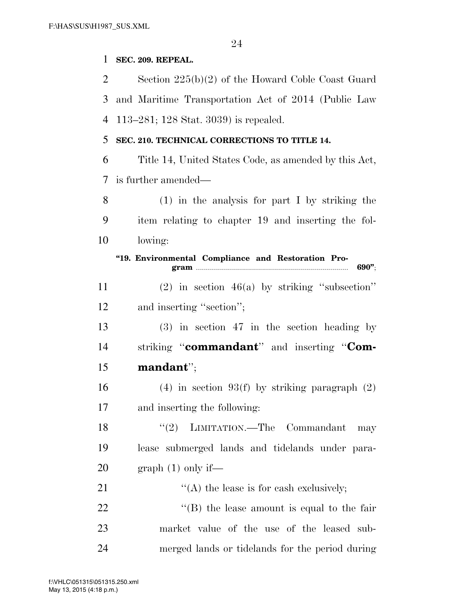### **SEC. 209. REPEAL.**

 Section 225(b)(2) of the Howard Coble Coast Guard and Maritime Transportation Act of 2014 (Public Law 113–281; 128 Stat. 3039) is repealed. **SEC. 210. TECHNICAL CORRECTIONS TO TITLE 14.**  Title 14, United States Code, as amended by this Act, is further amended— (1) in the analysis for part I by striking the item relating to chapter 19 and inserting the fol-lowing:

**''19. Environmental Compliance and Restoration Program** ............................................................................ **690''**;

 (2) in section 46(a) by striking ''subsection'' 12 and inserting "section";

 (3) in section 47 in the section heading by striking ''**commandant**'' and inserting ''**Com-mandant**'';

16 (4) in section 93(f) by striking paragraph  $(2)$ and inserting the following:

18 ''(2) LIMITATION.—The Commandant may lease submerged lands and tidelands under para-20 graph  $(1)$  only if—

 $\langle (A)$  the lease is for cash exclusively; 22 ''(B) the lease amount is equal to the fair market value of the use of the leased sub-merged lands or tidelands for the period during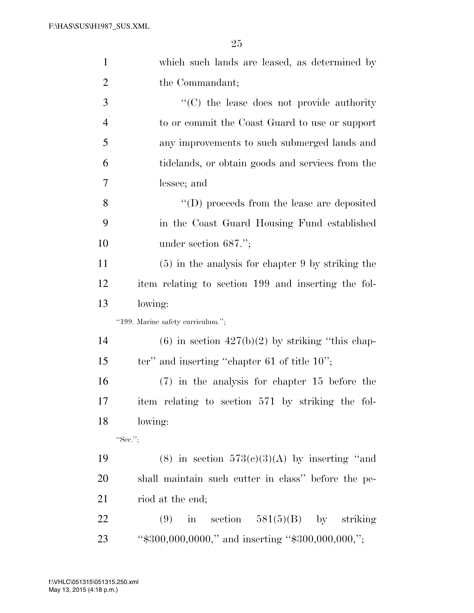| $\mathbf{1}$   | which such lands are leased, as determined by        |
|----------------|------------------------------------------------------|
| $\overline{c}$ | the Commandant;                                      |
| 3              | "(C) the lease does not provide authority            |
| $\overline{4}$ | to or commit the Coast Guard to use or support       |
| 5              | any improvements to such submerged lands and         |
| 6              | tidelands, or obtain goods and services from the     |
| 7              | lessee; and                                          |
| 8              | $\lq\lq$ (D) proceeds from the lease are deposited   |
| 9              | in the Coast Guard Housing Fund established          |
| 10             | under section $687."$ ;                              |
| 11             | $(5)$ in the analysis for chapter 9 by striking the  |
| 12             | item relating to section 199 and inserting the fol-  |
| 13             | lowing:                                              |
|                | "199. Marine safety curriculum.";                    |
| 14             | $(6)$ in section $427(b)(2)$ by striking "this chap- |
| 15             | ter" and inserting "chapter $61$ of title $10$ ";    |
| 16             | $(7)$ in the analysis for chapter 15 before the      |
| 17             | item relating to section 571 by striking the fol-    |
| 18             | lowing:                                              |
|                | "Sec.";                                              |
| 19             | (8) in section $573(c)(3)(A)$ by inserting "and      |
| 20             | shall maintain such cutter in class" before the pe-  |
| 21             | riod at the end;                                     |
| 22             | in section $581(5)(B)$ by striking<br>(9)            |
| 23             | "\$300,000,0000," and inserting "\$300,000,000,";    |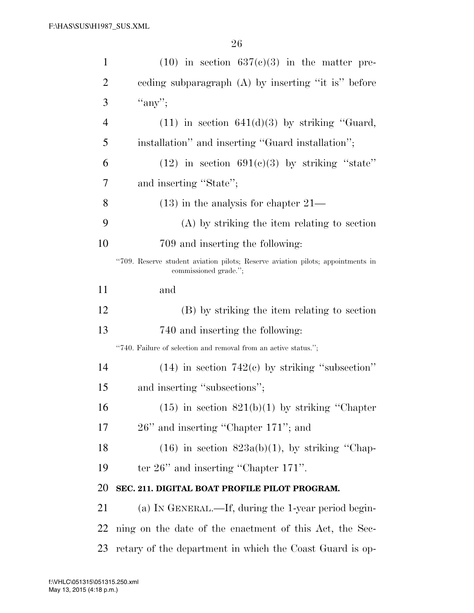| $\mathbf{1}$   | $(10)$ in section $637(c)(3)$ in the matter pre-                                                         |
|----------------|----------------------------------------------------------------------------------------------------------|
| 2              | eeding subparagraph (A) by inserting "it is" before                                                      |
| 3              | "any";                                                                                                   |
| $\overline{4}$ | $(11)$ in section $641(d)(3)$ by striking "Guard,                                                        |
| 5              | installation" and inserting "Guard installation";                                                        |
| 6              | $(12)$ in section $691(c)(3)$ by striking "state"                                                        |
| 7              | and inserting "State";                                                                                   |
| 8              | $(13)$ in the analysis for chapter $21-$                                                                 |
| 9              | (A) by striking the item relating to section                                                             |
| 10             | 709 and inserting the following:                                                                         |
|                | "709. Reserve student aviation pilots; Reserve aviation pilots; appointments in<br>commissioned grade."; |
| 11             | and                                                                                                      |
| 12             | (B) by striking the item relating to section                                                             |
| 13             | 740 and inserting the following:                                                                         |
|                | "740. Failure of selection and removal from an active status.";                                          |
| 14             | $(14)$ in section 742(c) by striking "subsection"                                                        |
| 15             | and inserting "subsections";                                                                             |
| 16             | $(15)$ in section $821(b)(1)$ by striking "Chapter"                                                      |
| 17             | 26" and inserting "Chapter 171"; and                                                                     |
| 18             | $(16)$ in section $823a(b)(1)$ , by striking "Chap-                                                      |
| 19             | ter $26$ " and inserting "Chapter $171$ ".                                                               |
| 20             | SEC. 211. DIGITAL BOAT PROFILE PILOT PROGRAM.                                                            |
| 21             | (a) IN GENERAL.—If, during the 1-year period begin-                                                      |
| <u>22</u>      | ning on the date of the enactment of this Act, the Sec-                                                  |
| 23             | retary of the department in which the Coast Guard is op-                                                 |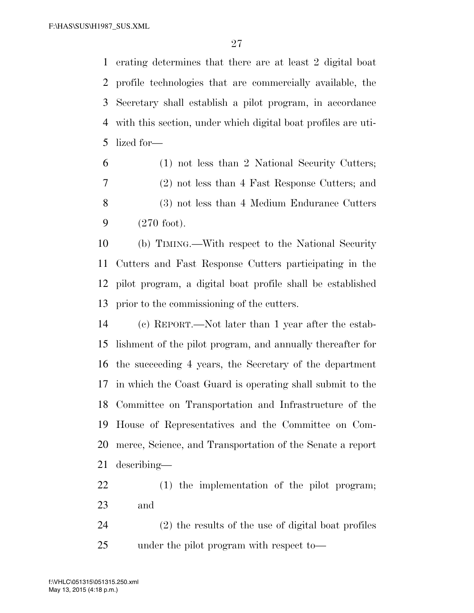erating determines that there are at least 2 digital boat profile technologies that are commercially available, the Secretary shall establish a pilot program, in accordance with this section, under which digital boat profiles are uti-lized for—

 (1) not less than 2 National Security Cutters; (2) not less than 4 Fast Response Cutters; and (3) not less than 4 Medium Endurance Cutters (270 foot).

 (b) TIMING.—With respect to the National Security Cutters and Fast Response Cutters participating in the pilot program, a digital boat profile shall be established prior to the commissioning of the cutters.

 (c) REPORT.—Not later than 1 year after the estab- lishment of the pilot program, and annually thereafter for the succeeding 4 years, the Secretary of the department in which the Coast Guard is operating shall submit to the Committee on Transportation and Infrastructure of the House of Representatives and the Committee on Com- merce, Science, and Transportation of the Senate a report describing—

 (1) the implementation of the pilot program; and

 (2) the results of the use of digital boat profiles under the pilot program with respect to—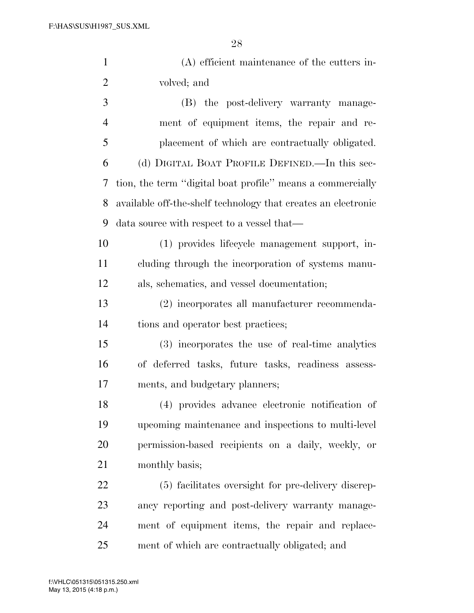| $\mathbf{1}$   | $(A)$ efficient maintenance of the cutters in-                |
|----------------|---------------------------------------------------------------|
| $\overline{2}$ | volved; and                                                   |
| 3              | (B) the post-delivery warranty manage-                        |
| $\overline{4}$ | ment of equipment items, the repair and re-                   |
| 5              | placement of which are contractually obligated.               |
| 6              | (d) DIGITAL BOAT PROFILE DEFINED.—In this sec-                |
| 7              | tion, the term "digital boat profile" means a commercially    |
| 8              | available off-the-shelf technology that creates an electronic |
| 9              | data source with respect to a vessel that—                    |
| 10             | (1) provides lifecycle management support, in-                |
| 11             | cluding through the incorporation of systems manu-            |
| 12             | als, schematics, and vessel documentation;                    |
| 13             | (2) incorporates all manufacturer recommenda-                 |
| 14             | tions and operator best practices;                            |
| 15             | (3) incorporates the use of real-time analytics               |
| 16             | of deferred tasks, future tasks, readiness assess-            |
| 17             | ments, and budgetary planners;                                |
| 18             | (4) provides advance electronic notification of               |
| 19             | upcoming maintenance and inspections to multi-level           |
| 20             | permission-based recipients on a daily, weekly, or            |
| 21             | monthly basis;                                                |
| 22             | (5) facilitates oversight for pre-delivery discrep-           |
| 23             | ancy reporting and post-delivery warranty manage-             |
| 24             | ment of equipment items, the repair and replace-              |
| 25             | ment of which are contractually obligated; and                |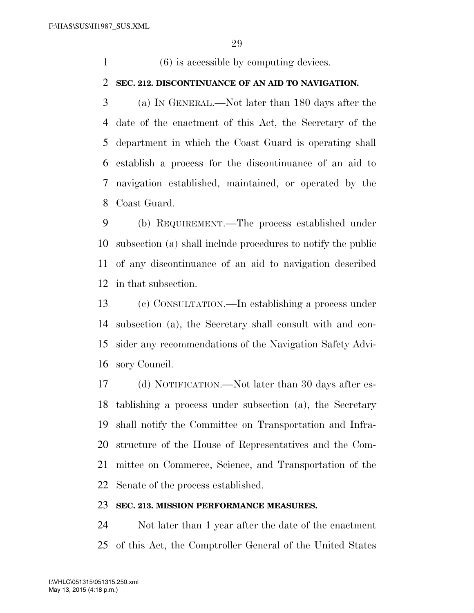(6) is accessible by computing devices.

### **SEC. 212. DISCONTINUANCE OF AN AID TO NAVIGATION.**

 (a) IN GENERAL.—Not later than 180 days after the date of the enactment of this Act, the Secretary of the department in which the Coast Guard is operating shall establish a process for the discontinuance of an aid to navigation established, maintained, or operated by the Coast Guard.

 (b) REQUIREMENT.—The process established under subsection (a) shall include procedures to notify the public of any discontinuance of an aid to navigation described in that subsection.

 (c) CONSULTATION.—In establishing a process under subsection (a), the Secretary shall consult with and con- sider any recommendations of the Navigation Safety Advi-sory Council.

 (d) NOTIFICATION.—Not later than 30 days after es- tablishing a process under subsection (a), the Secretary shall notify the Committee on Transportation and Infra- structure of the House of Representatives and the Com- mittee on Commerce, Science, and Transportation of the Senate of the process established.

#### **SEC. 213. MISSION PERFORMANCE MEASURES.**

 Not later than 1 year after the date of the enactment of this Act, the Comptroller General of the United States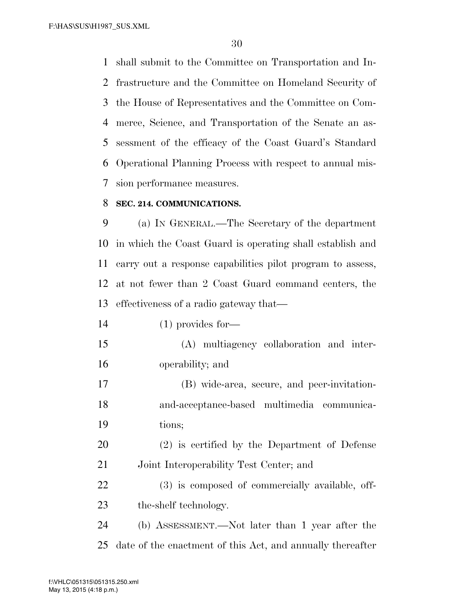F:\HAS\SUS\H1987\_SUS.XML

 shall submit to the Committee on Transportation and In- frastructure and the Committee on Homeland Security of the House of Representatives and the Committee on Com- merce, Science, and Transportation of the Senate an as- sessment of the efficacy of the Coast Guard's Standard Operational Planning Process with respect to annual mis-sion performance measures.

### **SEC. 214. COMMUNICATIONS.**

 (a) IN GENERAL.—The Secretary of the department in which the Coast Guard is operating shall establish and carry out a response capabilities pilot program to assess, at not fewer than 2 Coast Guard command centers, the effectiveness of a radio gateway that—

- (1) provides for—
- (A) multiagency collaboration and inter-operability; and

 (B) wide-area, secure, and peer-invitation- and-acceptance-based multimedia communica-tions;

 (2) is certified by the Department of Defense Joint Interoperability Test Center; and

 (3) is composed of commercially available, off-the-shelf technology.

 (b) ASSESSMENT.—Not later than 1 year after the date of the enactment of this Act, and annually thereafter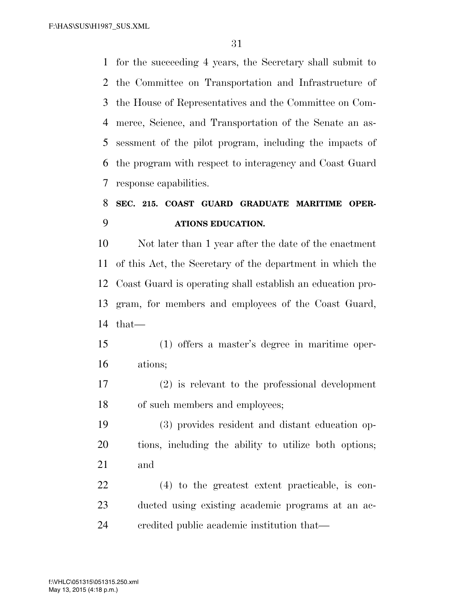F:\HAS\SUS\H1987\_SUS.XML

 for the succeeding 4 years, the Secretary shall submit to the Committee on Transportation and Infrastructure of the House of Representatives and the Committee on Com- merce, Science, and Transportation of the Senate an as- sessment of the pilot program, including the impacts of the program with respect to interagency and Coast Guard response capabilities.

# **SEC. 215. COAST GUARD GRADUATE MARITIME OPER-ATIONS EDUCATION.**

 Not later than 1 year after the date of the enactment of this Act, the Secretary of the department in which the Coast Guard is operating shall establish an education pro- gram, for members and employees of the Coast Guard, that—

 (1) offers a master's degree in maritime oper-ations;

 (2) is relevant to the professional development of such members and employees;

 (3) provides resident and distant education op- tions, including the ability to utilize both options; and

 (4) to the greatest extent practicable, is con- ducted using existing academic programs at an ac-credited public academic institution that—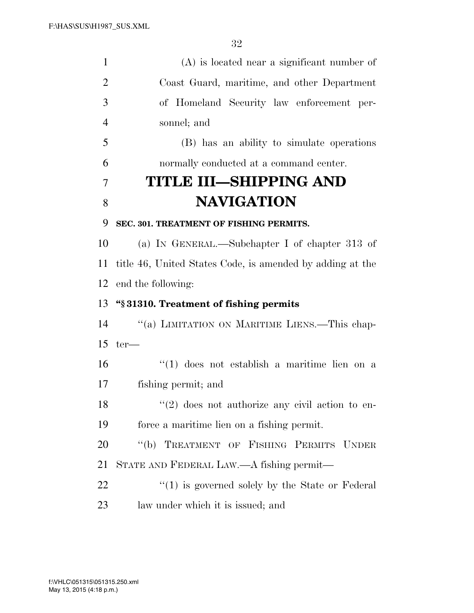(A) is located near a significant number of Coast Guard, maritime, and other Department of Homeland Security law enforcement per- sonnel; and (B) has an ability to simulate operations normally conducted at a command center. **TITLE III—SHIPPING AND NAVIGATION SEC. 301. TREATMENT OF FISHING PERMITS.**  (a) IN GENERAL.—Subchapter I of chapter 313 of title 46, United States Code, is amended by adding at the end the following: **''§ 31310. Treatment of fishing permits**  ''(a) LIMITATION ON MARITIME LIENS.—This chap- ter— ''(1) does not establish a maritime lien on a fishing permit; and  $\frac{18}{20}$  ''(2) does not authorize any civil action to en- force a maritime lien on a fishing permit. ''(b) TREATMENT OF FISHING PERMITS UNDER STATE AND FEDERAL LAW.—A fishing permit— 22 ''(1) is governed solely by the State or Federal law under which it is issued; and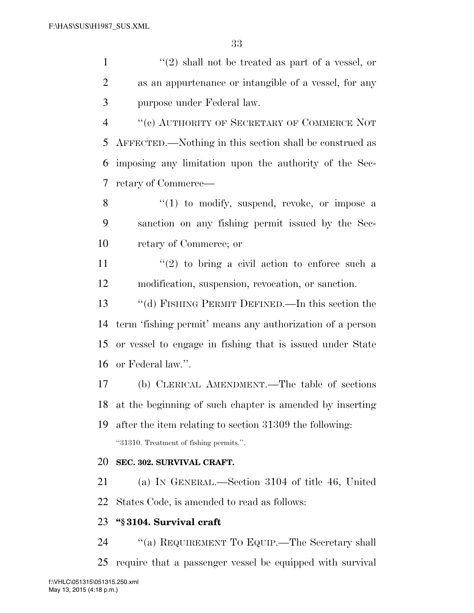1  $\langle (2)$  shall not be treated as part of a vessel, or as an appurtenance or intangible of a vessel, for any purpose under Federal law.

 ''(c) AUTHORITY OF SECRETARY OF COMMERCE NOT AFFECTED.—Nothing in this section shall be construed as imposing any limitation upon the authority of the Sec-retary of Commerce—

8 "(1) to modify, suspend, revoke, or impose a sanction on any fishing permit issued by the Sec-retary of Commerce; or

11  $\frac{1}{2}$  to bring a civil action to enforce such a modification, suspension, revocation, or sanction.

 ''(d) FISHING PERMIT DEFINED.—In this section the term 'fishing permit' means any authorization of a person or vessel to engage in fishing that is issued under State or Federal law.''.

 (b) CLERICAL AMENDMENT.—The table of sections at the beginning of such chapter is amended by inserting after the item relating to section 31309 the following: ''31310. Treatment of fishing permits.''.

### **SEC. 302. SURVIVAL CRAFT.**

 (a) IN GENERAL.—Section 3104 of title 46, United States Code, is amended to read as follows:

### **''§ 3104. Survival craft**

 ''(a) REQUIREMENT TO EQUIP.—The Secretary shall require that a passenger vessel be equipped with survival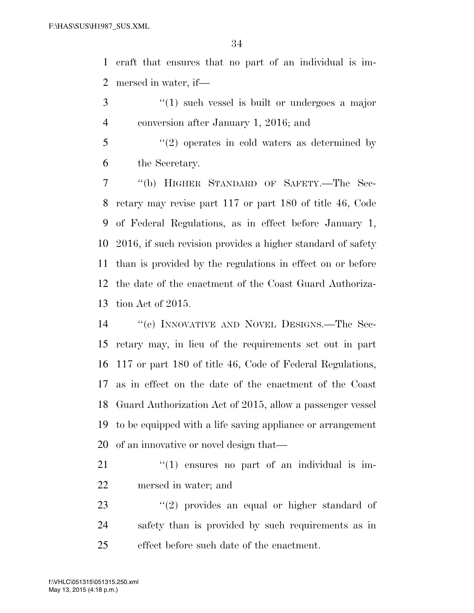craft that ensures that no part of an individual is im-mersed in water, if—

- 3 ''(1) such vessel is built or undergoes a major conversion after January 1, 2016; and
- ''(2) operates in cold waters as determined by the Secretary.

 ''(b) HIGHER STANDARD OF SAFETY.—The Sec- retary may revise part 117 or part 180 of title 46, Code of Federal Regulations, as in effect before January 1, 2016, if such revision provides a higher standard of safety than is provided by the regulations in effect on or before the date of the enactment of the Coast Guard Authoriza-tion Act of 2015.

 ''(c) INNOVATIVE AND NOVEL DESIGNS.—The Sec- retary may, in lieu of the requirements set out in part 117 or part 180 of title 46, Code of Federal Regulations, as in effect on the date of the enactment of the Coast Guard Authorization Act of 2015, allow a passenger vessel to be equipped with a life saving appliance or arrangement of an innovative or novel design that—

- 21  $\frac{1}{2}$  (1) ensures no part of an individual is im-mersed in water; and
- 23 ''(2) provides an equal or higher standard of safety than is provided by such requirements as in effect before such date of the enactment.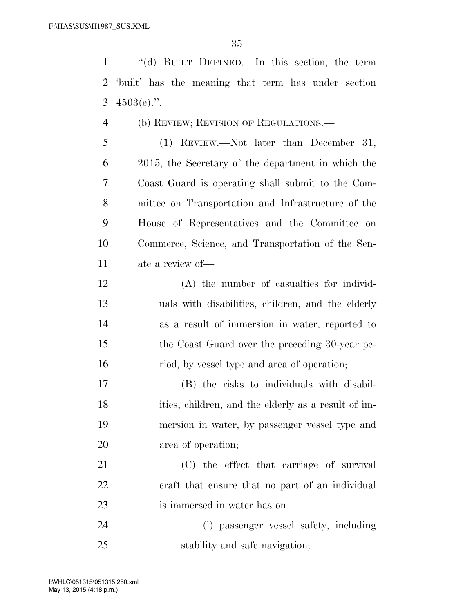''(d) BUILT DEFINED.—In this section, the term 'built' has the meaning that term has under section 3  $4503(e)$ .".

- (b) REVIEW; REVISION OF REGULATIONS.—
- (1) REVIEW.—Not later than December 31, 2015, the Secretary of the department in which the Coast Guard is operating shall submit to the Com- mittee on Transportation and Infrastructure of the House of Representatives and the Committee on Commerce, Science, and Transportation of the Sen-ate a review of—
- (A) the number of casualties for individ- uals with disabilities, children, and the elderly as a result of immersion in water, reported to the Coast Guard over the preceding 30-year pe-riod, by vessel type and area of operation;
- (B) the risks to individuals with disabil- ities, children, and the elderly as a result of im- mersion in water, by passenger vessel type and area of operation;
- (C) the effect that carriage of survival craft that ensure that no part of an individual is immersed in water has on—
- (i) passenger vessel safety, including stability and safe navigation;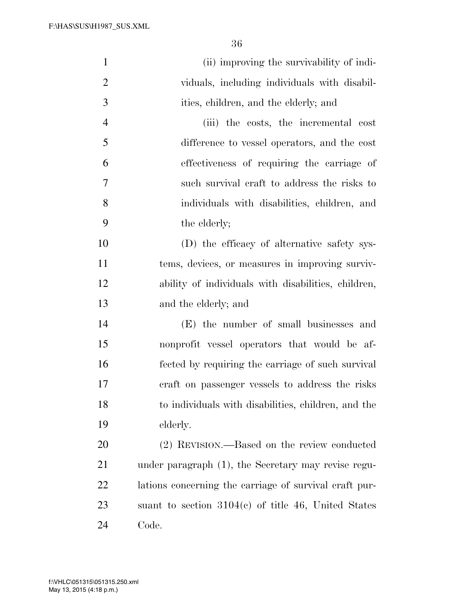| $\mathbf{1}$   | (ii) improving the survivability of indi-              |
|----------------|--------------------------------------------------------|
| $\overline{2}$ | viduals, including individuals with disabil-           |
| 3              | ities, children, and the elderly; and                  |
| $\overline{4}$ | (iii) the costs, the incremental cost                  |
| 5              | difference to vessel operators, and the cost           |
| 6              | effectiveness of requiring the carriage of             |
| 7              | such survival craft to address the risks to            |
| 8              | individuals with disabilities, children, and           |
| 9              | the elderly;                                           |
| 10             | (D) the efficacy of alternative safety sys-            |
| 11             | tems, devices, or measures in improving surviv-        |
| 12             | ability of individuals with disabilities, children,    |
| 13             | and the elderly; and                                   |
| 14             | (E) the number of small businesses and                 |
| 15             | nonprofit vessel operators that would be af-           |
| 16             | fected by requiring the carriage of such survival      |
| 17             | craft on passenger vessels to address the risks        |
| 18             | to individuals with disabilities, children, and the    |
| 19             | elderly.                                               |
| 20             | (2) REVISION.—Based on the review conducted            |
| 21             | under paragraph (1), the Secretary may revise regu-    |
| 22             | lations concerning the carriage of survival craft pur- |
| 23             | suant to section $3104(c)$ of title 46, United States  |
| 24             | Code.                                                  |

May 13, 2015 (4:18 p.m.) f:\VHLC\051315\051315.250.xml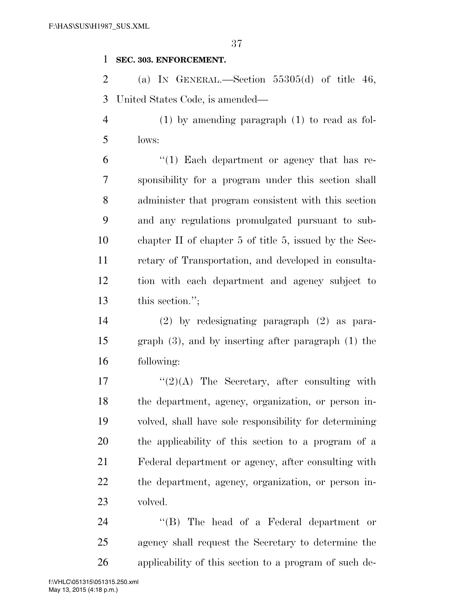### **SEC. 303. ENFORCEMENT.**

2 (a) IN GENERAL.—Section  $55305(d)$  of title 46, United States Code, is amended—

 (1) by amending paragraph (1) to read as fol-lows:

 "(1) Each department or agency that has re- sponsibility for a program under this section shall administer that program consistent with this section and any regulations promulgated pursuant to sub- chapter II of chapter 5 of title 5, issued by the Sec- retary of Transportation, and developed in consulta- tion with each department and agency subject to this section.'';

 (2) by redesignating paragraph (2) as para- graph (3), and by inserting after paragraph (1) the following:

 $\frac{17}{2}(2)$  The Secretary, after consulting with the department, agency, organization, or person in- volved, shall have sole responsibility for determining the applicability of this section to a program of a Federal department or agency, after consulting with the department, agency, organization, or person in-volved.

24 "(B) The head of a Federal department or agency shall request the Secretary to determine the applicability of this section to a program of such de-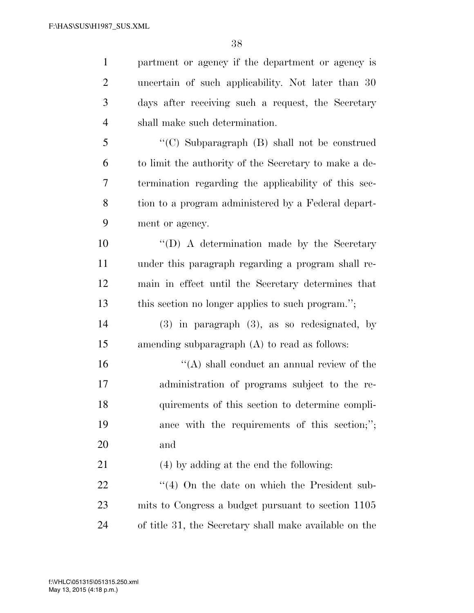| $\mathbf{1}$   | partment or agency if the department or agency is      |
|----------------|--------------------------------------------------------|
| $\overline{2}$ | uncertain of such applicability. Not later than 30     |
| 3              | days after receiving such a request, the Secretary     |
| $\overline{4}$ | shall make such determination.                         |
| 5              | "(C) Subparagraph (B) shall not be construed           |
| 6              | to limit the authority of the Secretary to make a de-  |
| 7              | termination regarding the applicability of this sec-   |
| 8              | tion to a program administered by a Federal depart-    |
| 9              | ment or agency.                                        |
| 10             | "(D) A determination made by the Secretary             |
| 11             | under this paragraph regarding a program shall re-     |
| 12             | main in effect until the Secretary determines that     |
| 13             | this section no longer applies to such program.";      |
| 14             | $(3)$ in paragraph $(3)$ , as so redesignated, by      |
| 15             | amending subparagraph (A) to read as follows:          |
| 16             | $\lq\lq$ shall conduct an annual review of the         |
| 17             | administration of programs subject to the re-          |
| 18             | quirements of this section to determine compli-        |
| 19             | ance with the requirements of this section;";          |
| 20             | and                                                    |
| 21             | (4) by adding at the end the following:                |
| 22             | $\cdot$ (4) On the date on which the President sub-    |
| 23             | mits to Congress a budget pursuant to section 1105     |
| 24             | of title 31, the Secretary shall make available on the |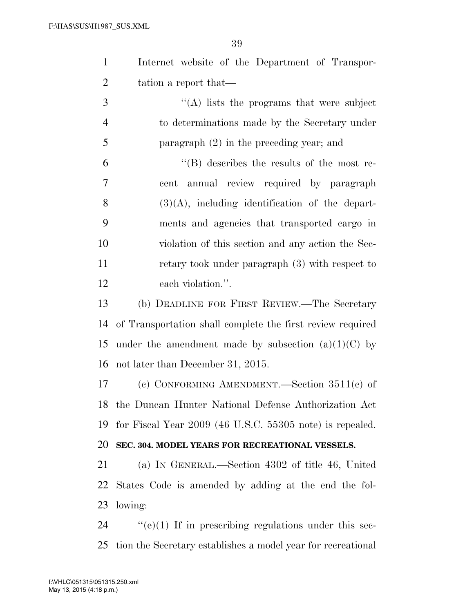| $\mathbf{1}$   | Internet website of the Department of Transpor-                   |
|----------------|-------------------------------------------------------------------|
| $\overline{2}$ | tation a report that—                                             |
| 3              | $\lq\lq$ ) lists the programs that were subject                   |
| $\overline{4}$ | to determinations made by the Secretary under                     |
| 5              | paragraph $(2)$ in the preceding year; and                        |
| 6              | $\lq\lq (B)$ describes the results of the most re-                |
| 7              | cent annual review required by paragraph                          |
| 8              | $(3)(A)$ , including identification of the depart-                |
| 9              | ments and agencies that transported cargo in                      |
| 10             | violation of this section and any action the Sec-                 |
| 11             | retary took under paragraph (3) with respect to                   |
| 12             | each violation.".                                                 |
| 13             | (b) DEADLINE FOR FIRST REVIEW.—The Secretary                      |
| 14             | of Transportation shall complete the first review required        |
| 15             | under the amendment made by subsection $(a)(1)(C)$ by             |
| 16             | not later than December 31, 2015.                                 |
| 17             | (c) CONFORMING AMENDMENT.—Section $3511(c)$ of                    |
|                | 18 the Duncan Hunter National Defense Authorization Act           |
| 19             | for Fiscal Year 2009 (46 U.S.C. 55305 note) is repealed.          |
| 20             | SEC. 304. MODEL YEARS FOR RECREATIONAL VESSELS.                   |
| 21             | (a) IN GENERAL.—Section 4302 of title 46, United                  |
| 22             | States Code is amended by adding at the end the fol-              |
| 23             | lowing:                                                           |
| 24             | $\cdot\cdot$ (e)(1) If in prescribing regulations under this sec- |
| 25             | tion the Secretary establishes a model year for recreational      |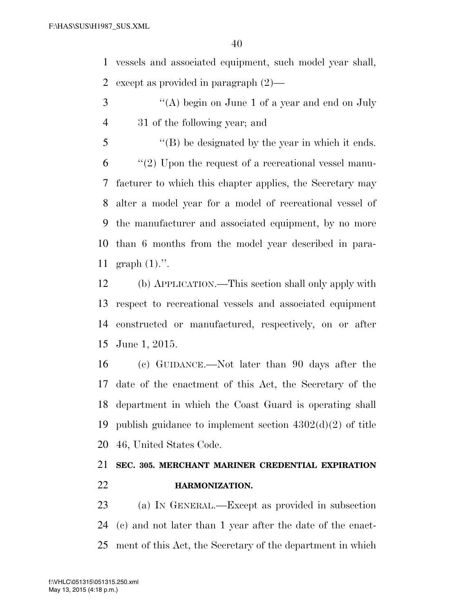vessels and associated equipment, such model year shall, except as provided in paragraph (2)—

- 3 "(A) begin on June 1 of a year and end on July 31 of the following year; and
- ''(B) be designated by the year in which it ends. ''(2) Upon the request of a recreational vessel manu- facturer to which this chapter applies, the Secretary may alter a model year for a model of recreational vessel of the manufacturer and associated equipment, by no more than 6 months from the model year described in para-graph (1).''.

 (b) APPLICATION.—This section shall only apply with respect to recreational vessels and associated equipment constructed or manufactured, respectively, on or after June 1, 2015.

 (c) GUIDANCE.—Not later than 90 days after the date of the enactment of this Act, the Secretary of the department in which the Coast Guard is operating shall publish guidance to implement section 4302(d)(2) of title 46, United States Code.

# **SEC. 305. MERCHANT MARINER CREDENTIAL EXPIRATION HARMONIZATION.**

 (a) IN GENERAL.—Except as provided in subsection (c) and not later than 1 year after the date of the enact-ment of this Act, the Secretary of the department in which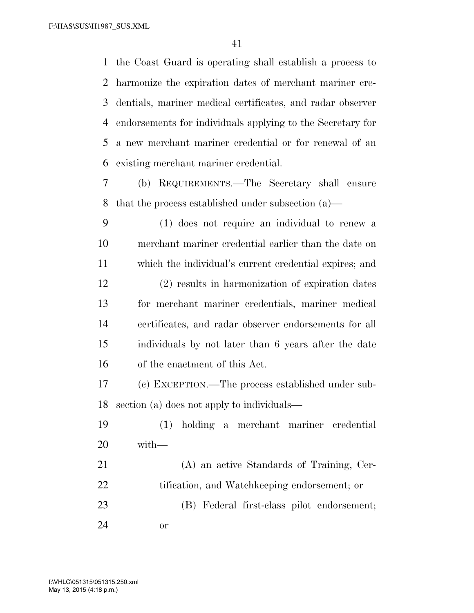the Coast Guard is operating shall establish a process to harmonize the expiration dates of merchant mariner cre- dentials, mariner medical certificates, and radar observer endorsements for individuals applying to the Secretary for a new merchant mariner credential or for renewal of an existing merchant mariner credential.

 (b) REQUIREMENTS.—The Secretary shall ensure that the process established under subsection (a)—

 (1) does not require an individual to renew a merchant mariner credential earlier than the date on which the individual's current credential expires; and (2) results in harmonization of expiration dates for merchant mariner credentials, mariner medical certificates, and radar observer endorsements for all individuals by not later than 6 years after the date of the enactment of this Act.

 (c) EXCEPTION.—The process established under sub-section (a) does not apply to individuals—

 (1) holding a merchant mariner credential with—

 (A) an active Standards of Training, Cer- tification, and Watchkeeping endorsement; or (B) Federal first-class pilot endorsement; or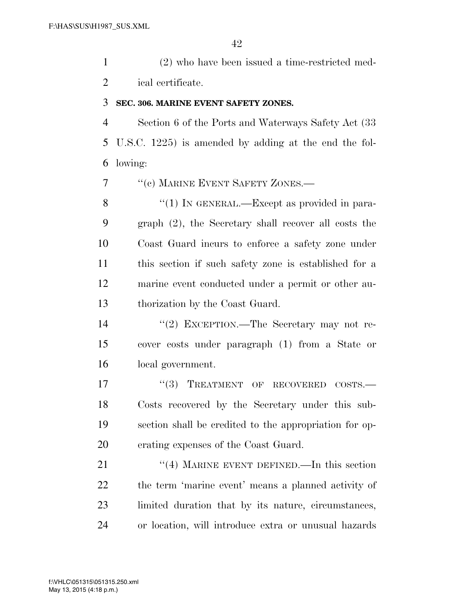(2) who have been issued a time-restricted med-ical certificate.

### **SEC. 306. MARINE EVENT SAFETY ZONES.**

 Section 6 of the Ports and Waterways Safety Act (33 U.S.C. 1225) is amended by adding at the end the fol-lowing:

7 <sup>"</sup>(c) MARINE EVENT SAFETY ZONES.—

8 "(1) IN GENERAL.—Except as provided in para- graph (2), the Secretary shall recover all costs the Coast Guard incurs to enforce a safety zone under this section if such safety zone is established for a marine event conducted under a permit or other au-thorization by the Coast Guard.

 ''(2) EXCEPTION.—The Secretary may not re- cover costs under paragraph (1) from a State or local government.

17 "(3) TREATMENT OF RECOVERED COSTS.— Costs recovered by the Secretary under this sub- section shall be credited to the appropriation for op-erating expenses of the Coast Guard.

21 ''(4) MARINE EVENT DEFINED.—In this section the term 'marine event' means a planned activity of limited duration that by its nature, circumstances, or location, will introduce extra or unusual hazards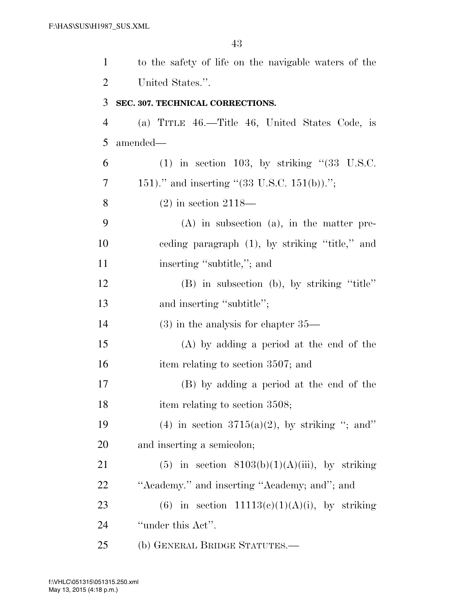| $\mathbf{1}$   | to the safety of life on the navigable waters of the      |
|----------------|-----------------------------------------------------------|
| $\overline{2}$ | United States.".                                          |
| 3              | SEC. 307. TECHNICAL CORRECTIONS.                          |
| $\overline{4}$ | (a) TITLE 46.—Title 46, United States Code, is            |
| 5              | amended—                                                  |
| 6              | $(1)$ in section 103, by striking " $(33 \text{ U.S.C.})$ |
| 7              | 151)." and inserting "(33 U.S.C. 151(b)).";               |
| 8              | $(2)$ in section 2118—                                    |
| 9              | $(A)$ in subsection $(a)$ , in the matter pre-            |
| 10             | ceding paragraph $(1)$ , by striking "title," and         |
| 11             | inserting "subtitle,"; and                                |
| 12             | (B) in subsection (b), by striking "title"                |
| 13             | and inserting "subtitle";                                 |
| 14             | $(3)$ in the analysis for chapter $35-$                   |
| 15             | (A) by adding a period at the end of the                  |
| 16             | item relating to section 3507; and                        |
| 17             | (B) by adding a period at the end of the                  |
| 18             | item relating to section 3508;                            |
| 19             | (4) in section $3715(a)(2)$ , by striking "; and"         |
| 20             | and inserting a semicolon;                                |
| 21             | $(5)$ in section $8103(b)(1)(A)(iii)$ , by striking       |
| 22             | "Academy." and inserting "Academy; and"; and              |
| 23             | (6) in section $11113(c)(1)(A)(i)$ , by striking          |
| 24             | "under this Act".                                         |
| 25             | (b) GENERAL BRIDGE STATUTES.—                             |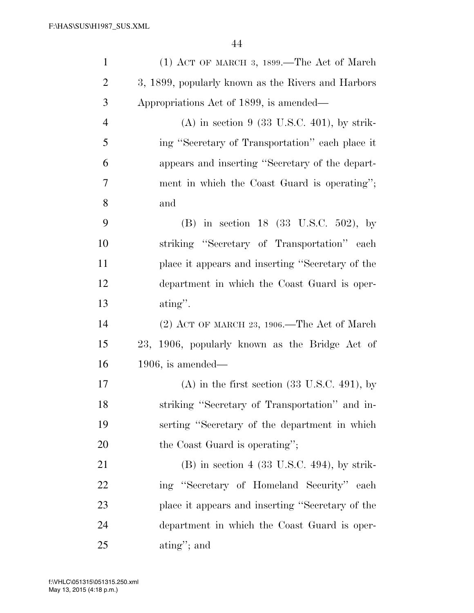| $\mathbf{1}$   | $(1)$ ACT OF MARCH 3, 1899.—The Act of March               |
|----------------|------------------------------------------------------------|
| $\overline{2}$ | 3, 1899, popularly known as the Rivers and Harbors         |
| 3              | Appropriations Act of 1899, is amended—                    |
| $\overline{4}$ | $(A)$ in section 9 (33 U.S.C. 401), by strik-              |
| 5              | ing "Secretary of Transportation" each place it            |
| 6              | appears and inserting "Secretary of the depart-            |
| $\overline{7}$ | ment in which the Coast Guard is operating";               |
| 8              | and                                                        |
| 9              | (B) in section 18 (33 U.S.C. 502), by                      |
| 10             | striking "Secretary of Transportation" each                |
| 11             | place it appears and inserting "Secretary of the           |
| 12             | department in which the Coast Guard is oper-               |
| 13             | $\alpha$ ating".                                           |
| 14             | $(2)$ ACT OF MARCH 23, 1906.—The Act of March              |
| 15             | 23, 1906, popularly known as the Bridge Act of             |
| 16             | $1906$ , is amended—                                       |
| 17             | $(A)$ in the first section $(33 \text{ U.S.C. } 491)$ , by |
| 18             | striking "Secretary of Transportation" and in-             |
| 19             | serting "Secretary of the department in which              |
| 20             | the Coast Guard is operating";                             |
| 21             | $(B)$ in section 4 (33 U.S.C. 494), by strik-              |
| 22             | ing "Secretary of Homeland Security" each                  |
| 23             | place it appears and inserting "Secretary of the           |
| 24             | department in which the Coast Guard is oper-               |
| 25             | $\alpha$ ating"; and                                       |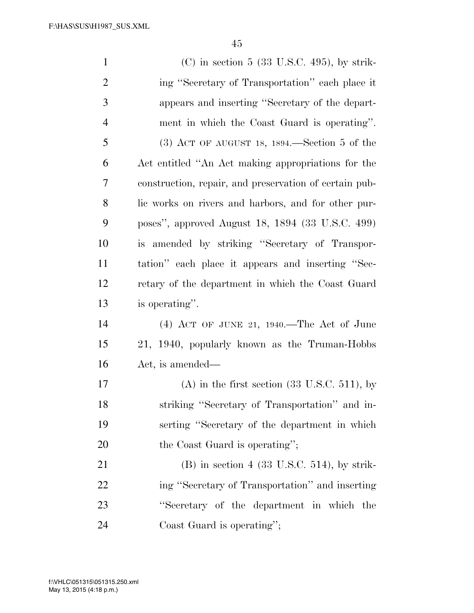(C) in section 5 (33 U.S.C. 495), by strik- ing ''Secretary of Transportation'' each place it appears and inserting ''Secretary of the depart- ment in which the Coast Guard is operating''. (3) ACT OF AUGUST 18, 1894.—Section 5 of the Act entitled ''An Act making appropriations for the construction, repair, and preservation of certain pub- lic works on rivers and harbors, and for other pur- poses'', approved August 18, 1894 (33 U.S.C. 499) is amended by striking ''Secretary of Transpor- tation'' each place it appears and inserting ''Sec- retary of the department in which the Coast Guard is operating''. (4) ACT OF JUNE 21, 1940.—The Act of June 21, 1940, popularly known as the Truman-Hobbs Act, is amended— 17 (A) in the first section  $(33 \text{ U.S.C. } 511)$ , by striking ''Secretary of Transportation'' and in- serting ''Secretary of the department in which 20 the Coast Guard is operating''; (B) in section 4 (33 U.S.C. 514), by strik- ing ''Secretary of Transportation'' and inserting ''Secretary of the department in which the Coast Guard is operating'';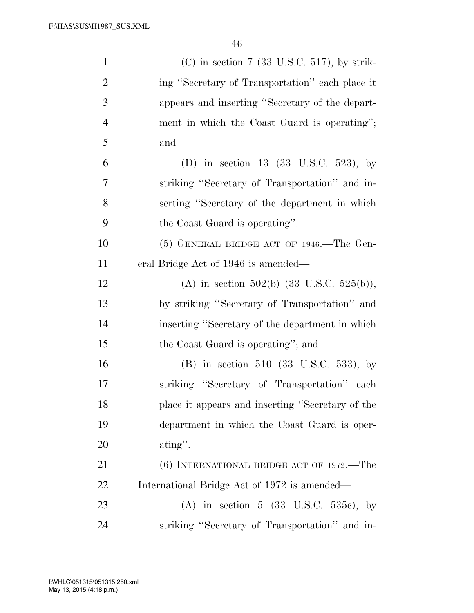| $\mathbf{1}$   | $(C)$ in section 7 (33 U.S.C. 517), by strik-        |
|----------------|------------------------------------------------------|
| $\overline{2}$ | ing "Secretary of Transportation" each place it      |
| 3              | appears and inserting "Secretary of the depart-      |
| $\overline{4}$ | ment in which the Coast Guard is operating";         |
| 5              | and                                                  |
| 6              | (D) in section 13 (33 U.S.C. 523), by                |
| 7              | striking "Secretary of Transportation" and in-       |
| 8              | serting "Secretary of the department in which        |
| 9              | the Coast Guard is operating".                       |
| 10             | $(5)$ GENERAL BRIDGE ACT OF 1946.—The Gen-           |
| 11             | eral Bridge Act of 1946 is amended—                  |
| 12             | (A) in section 502(b) $(33 \text{ U.S.C. } 525(b)),$ |
| 13             | by striking "Secretary of Transportation" and        |
| 14             | inserting "Secretary of the department in which      |
| 15             | the Coast Guard is operating"; and                   |
| 16             | (B) in section 510 (33 U.S.C. 533), by               |
| 17             | striking "Secretary of Transportation" each          |
| 18             | place it appears and inserting "Secretary of the     |
| 19             | department in which the Coast Guard is oper-         |
| 20             | $\alpha$ ating".                                     |
| 21             | $(6)$ INTERNATIONAL BRIDGE ACT OF 1972.—The          |
| 22             | International Bridge Act of 1972 is amended—         |
| 23             | (A) in section 5 (33 U.S.C. 535c), by                |
| 24             | striking "Secretary of Transportation" and in-       |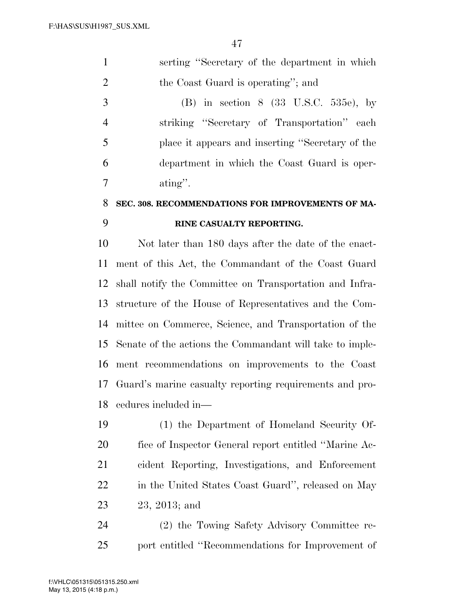| $\mathbf{1}$   | serting "Secretary of the department in which    |
|----------------|--------------------------------------------------|
| $\overline{2}$ | the Coast Guard is operating"; and               |
| 3              | (B) in section $8$ (33 U.S.C. 535e), by          |
| $\overline{4}$ | striking "Secretary of Transportation" each      |
| 5              | place it appears and inserting "Secretary of the |
| 6              | department in which the Coast Guard is oper-     |
| 7              | $\alpha$ ating".                                 |
| 8 <sup>1</sup> | SEC 308 RECOMMENDATIONS FOR IMPROVEMENTS OF MA.  |

# **SEC. 308. RECOMMENDATIONS FOR IMPROVEMENTS OF MA-RINE CASUALTY REPORTING.**

 Not later than 180 days after the date of the enact- ment of this Act, the Commandant of the Coast Guard shall notify the Committee on Transportation and Infra- structure of the House of Representatives and the Com- mittee on Commerce, Science, and Transportation of the Senate of the actions the Commandant will take to imple- ment recommendations on improvements to the Coast Guard's marine casualty reporting requirements and pro-cedures included in—

 (1) the Department of Homeland Security Of- fice of Inspector General report entitled ''Marine Ac- cident Reporting, Investigations, and Enforcement in the United States Coast Guard'', released on May 23, 2013; and

 (2) the Towing Safety Advisory Committee re-port entitled ''Recommendations for Improvement of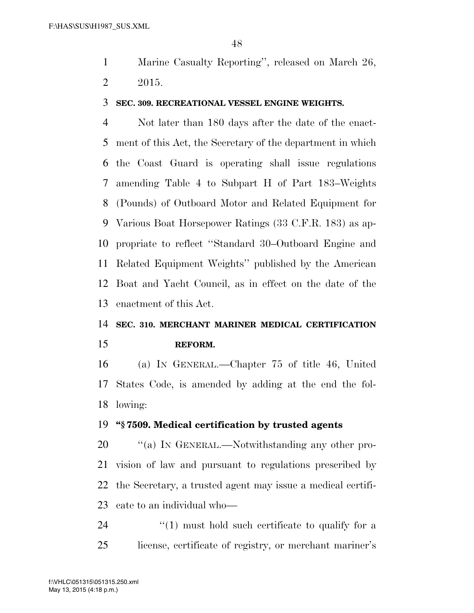Marine Casualty Reporting'', released on March 26, 2015.

#### **SEC. 309. RECREATIONAL VESSEL ENGINE WEIGHTS.**

 Not later than 180 days after the date of the enact- ment of this Act, the Secretary of the department in which the Coast Guard is operating shall issue regulations amending Table 4 to Subpart H of Part 183–Weights (Pounds) of Outboard Motor and Related Equipment for Various Boat Horsepower Ratings (33 C.F.R. 183) as ap- propriate to reflect ''Standard 30–Outboard Engine and Related Equipment Weights'' published by the American Boat and Yacht Council, as in effect on the date of the enactment of this Act.

# **SEC. 310. MERCHANT MARINER MEDICAL CERTIFICATION REFORM.**

 (a) IN GENERAL.—Chapter 75 of title 46, United States Code, is amended by adding at the end the fol-lowing:

#### **''§ 7509. Medical certification by trusted agents**

20 "(a) In GENERAL.—Notwithstanding any other pro- vision of law and pursuant to regulations prescribed by the Secretary, a trusted agent may issue a medical certifi-cate to an individual who—

  $(1)$  must hold such certificate to qualify for a license, certificate of registry, or merchant mariner's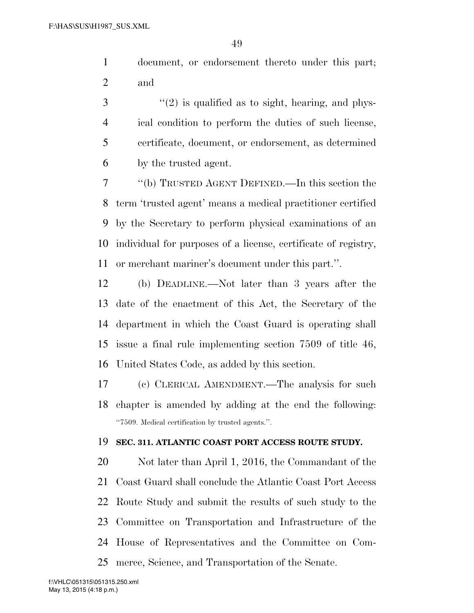document, or endorsement thereto under this part; and

 ''(2) is qualified as to sight, hearing, and phys- ical condition to perform the duties of such license, certificate, document, or endorsement, as determined by the trusted agent.

 ''(b) TRUSTED AGENT DEFINED.—In this section the term 'trusted agent' means a medical practitioner certified by the Secretary to perform physical examinations of an individual for purposes of a license, certificate of registry, or merchant mariner's document under this part.''.

 (b) DEADLINE.—Not later than 3 years after the date of the enactment of this Act, the Secretary of the department in which the Coast Guard is operating shall issue a final rule implementing section 7509 of title 46, United States Code, as added by this section.

 (c) CLERICAL AMENDMENT.—The analysis for such chapter is amended by adding at the end the following: ''7509. Medical certification by trusted agents.''.

### **SEC. 311. ATLANTIC COAST PORT ACCESS ROUTE STUDY.**

 Not later than April 1, 2016, the Commandant of the Coast Guard shall conclude the Atlantic Coast Port Access Route Study and submit the results of such study to the Committee on Transportation and Infrastructure of the House of Representatives and the Committee on Com-merce, Science, and Transportation of the Senate.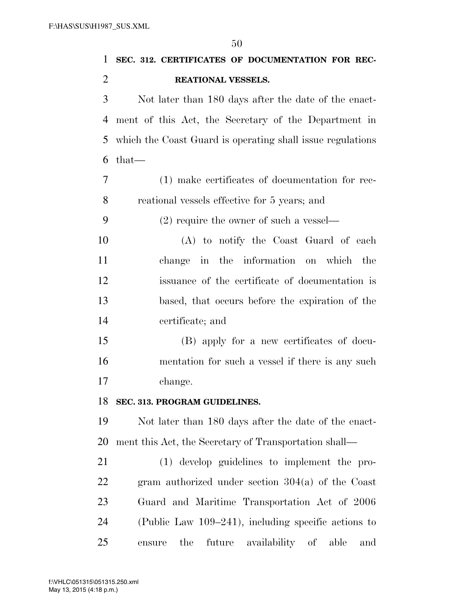| 1              | SEC. 312. CERTIFICATES OF DOCUMENTATION FOR REC-           |
|----------------|------------------------------------------------------------|
| $\overline{2}$ | REATIONAL VESSELS.                                         |
| 3              | Not later than 180 days after the date of the enact-       |
| 4              | ment of this Act, the Secretary of the Department in       |
| 5              | which the Coast Guard is operating shall issue regulations |
| 6              | $that-$                                                    |
| 7              | (1) make certificates of documentation for rec-            |
| 8              | reational vessels effective for 5 years; and               |
| 9              | $(2)$ require the owner of such a vessel—                  |
| 10             | (A) to notify the Coast Guard of each                      |
| 11             | change in the information on which the                     |
| 12             | issuance of the certificate of documentation is            |
| 13             | based, that occurs before the expiration of the            |
| 14             | certificate; and                                           |
| 15             | (B) apply for a new certificates of docu-                  |
| 16             | mentation for such a vessel if there is any such           |
| 17             | change.                                                    |
| 18             | SEC. 313. PROGRAM GUIDELINES.                              |
| 19             | Not later than 180 days after the date of the enact-       |
| 20             | ment this Act, the Secretary of Transportation shall—      |
| 21             | (1) develop guidelines to implement the pro-               |
| <u>22</u>      | gram authorized under section $304(a)$ of the Coast        |
| 23             | Guard and Maritime Transportation Act of 2006              |
| 24             | (Public Law 109–241), including specific actions to        |
| 25             | the<br>future<br>availability of<br>able<br>ensure<br>and  |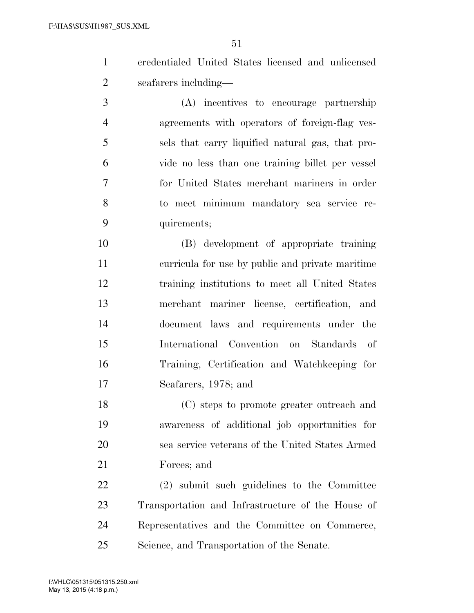- credentialed United States licensed and unlicensed seafarers including—
- (A) incentives to encourage partnership agreements with operators of foreign-flag ves- sels that carry liquified natural gas, that pro- vide no less than one training billet per vessel for United States merchant mariners in order to meet minimum mandatory sea service re-quirements;
- (B) development of appropriate training curricula for use by public and private maritime training institutions to meet all United States merchant mariner license, certification, and document laws and requirements under the International Convention on Standards of Training, Certification and Watchkeeping for Seafarers, 1978; and

 (C) steps to promote greater outreach and awareness of additional job opportunities for sea service veterans of the United States Armed Forces; and

 (2) submit such guidelines to the Committee Transportation and Infrastructure of the House of Representatives and the Committee on Commerce, Science, and Transportation of the Senate.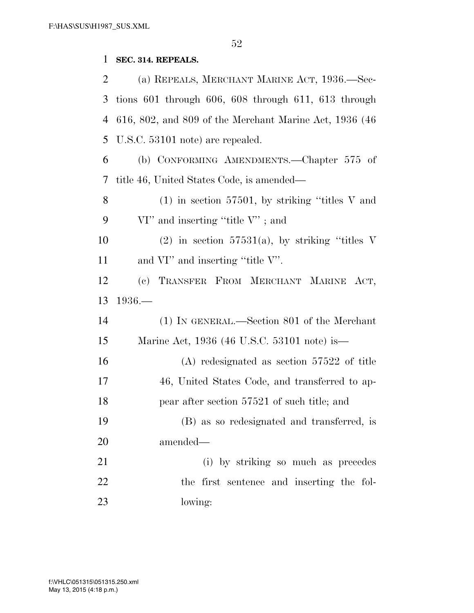### **SEC. 314. REPEALS.**

 (a) REPEALS, MERCHANT MARINE ACT, 1936.—Sec- tions 601 through 606, 608 through 611, 613 through 616, 802, and 809 of the Merchant Marine Act, 1936 (46 U.S.C. 53101 note) are repealed. (b) CONFORMING AMENDMENTS.—Chapter 575 of title 46, United States Code, is amended— (1) in section 57501, by striking ''titles V and 9 VI'' and inserting "title V"; and 10 (2) in section  $57531(a)$ , by striking "titles V 11 and VI" and inserting "title V". (c) TRANSFER FROM MERCHANT MARINE ACT, 1936.— (1) IN GENERAL.—Section 801 of the Merchant Marine Act, 1936 (46 U.S.C. 53101 note) is— (A) redesignated as section 57522 of title 46, United States Code, and transferred to ap- pear after section 57521 of such title; and (B) as so redesignated and transferred, is amended— (i) by striking so much as precedes the first sentence and inserting the fol-lowing: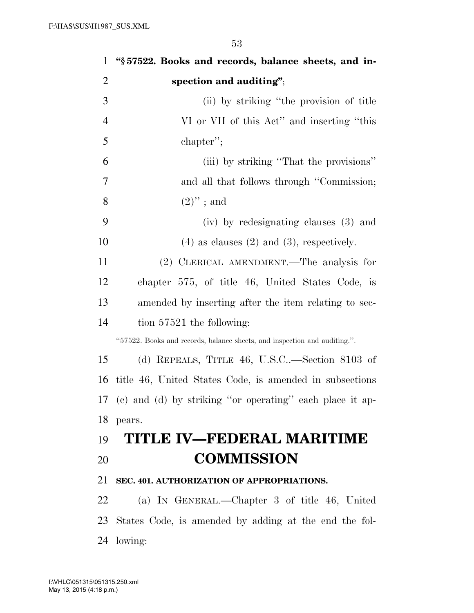| $\mathbf{1}$   | "§57522. Books and records, balance sheets, and in-                       |
|----------------|---------------------------------------------------------------------------|
| $\overline{2}$ | spection and auditing";                                                   |
| 3              | (ii) by striking "the provision of title                                  |
| $\overline{4}$ | VI or VII of this Act" and inserting "this                                |
| 5              | chapter";                                                                 |
| 6              | (iii) by striking "That the provisions"                                   |
| 7              | and all that follows through "Commission;                                 |
| 8              | $(2)$ "; and                                                              |
| 9              | (iv) by redesignating clauses (3) and                                     |
| 10             | $(4)$ as clauses $(2)$ and $(3)$ , respectively.                          |
| 11             | (2) CLERICAL AMENDMENT.—The analysis for                                  |
| 12             | chapter 575, of title 46, United States Code, is                          |
| 13             | amended by inserting after the item relating to sec-                      |
| 14             | tion $57521$ the following:                                               |
|                | "57522. Books and records, balance sheets, and inspection and auditing.". |
| 15             | (d) REPEALS, TITLE 46, U.S.C—Section 8103 of                              |
| 16             | title 46, United States Code, is amended in subsections                   |
|                | 17 (c) and (d) by striking "or operating" each place it ap-               |
| 18             | pears.                                                                    |
| 19             | TITLE IV—FEDERAL MARITIME                                                 |
| 20             | <b>COMMISSION</b>                                                         |
| 21             | SEC. 401. AUTHORIZATION OF APPROPRIATIONS.                                |
| 22             | (a) IN GENERAL.—Chapter 3 of title 46, United                             |
| 23             | States Code, is amended by adding at the end the fol-                     |
| 24             | lowing:                                                                   |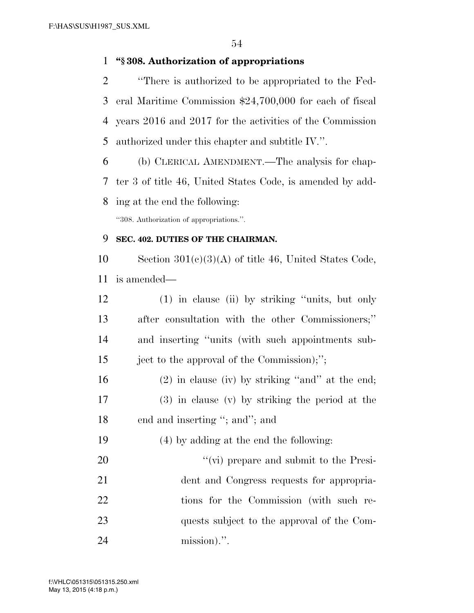### **''§ 308. Authorization of appropriations**

- ''There is authorized to be appropriated to the Fed- eral Maritime Commission \$24,700,000 for each of fiscal years 2016 and 2017 for the activities of the Commission authorized under this chapter and subtitle IV.''.
- (b) CLERICAL AMENDMENT.—The analysis for chap- ter 3 of title 46, United States Code, is amended by add-ing at the end the following:

''308. Authorization of appropriations.''.

### **SEC. 402. DUTIES OF THE CHAIRMAN.**

10 Section  $301(c)(3)(A)$  of title 46, United States Code, is amended—

- (1) in clause (ii) by striking ''units, but only after consultation with the other Commissioners;'' and inserting ''units (with such appointments sub-ject to the approval of the Commission);'';
- (2) in clause (iv) by striking ''and'' at the end; (3) in clause (v) by striking the period at the 18 end and inserting "; and"; and
- (4) by adding at the end the following:
- 20  $\frac{1}{20}$   $\frac{1}{20}$  is the Presi- dent and Congress requests for appropria-22 tions for the Commission (with such re- quests subject to the approval of the Com-mission).''.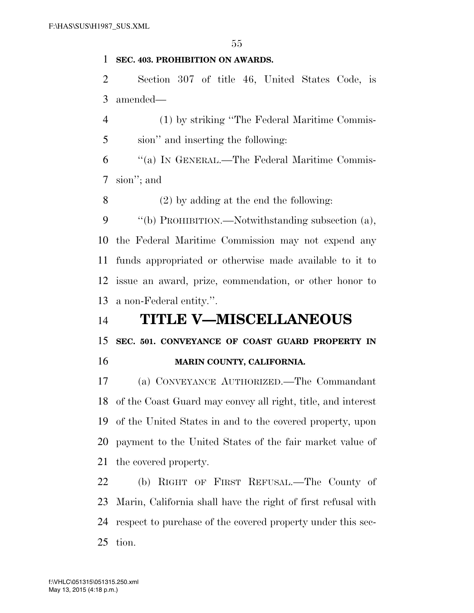### **SEC. 403. PROHIBITION ON AWARDS.**

 Section 307 of title 46, United States Code, is amended—

 (1) by striking ''The Federal Maritime Commis-sion'' and inserting the following:

 ''(a) IN GENERAL.—The Federal Maritime Commis-sion''; and

(2) by adding at the end the following:

 ''(b) PROHIBITION.—Notwithstanding subsection (a), the Federal Maritime Commission may not expend any funds appropriated or otherwise made available to it to issue an award, prize, commendation, or other honor to a non-Federal entity.''.

# **TITLE V—MISCELLANEOUS**

**SEC. 501. CONVEYANCE OF COAST GUARD PROPERTY IN** 

**MARIN COUNTY, CALIFORNIA.** 

 (a) CONVEYANCE AUTHORIZED.—The Commandant of the Coast Guard may convey all right, title, and interest of the United States in and to the covered property, upon payment to the United States of the fair market value of the covered property.

 (b) RIGHT OF FIRST REFUSAL.—The County of Marin, California shall have the right of first refusal with respect to purchase of the covered property under this sec-tion.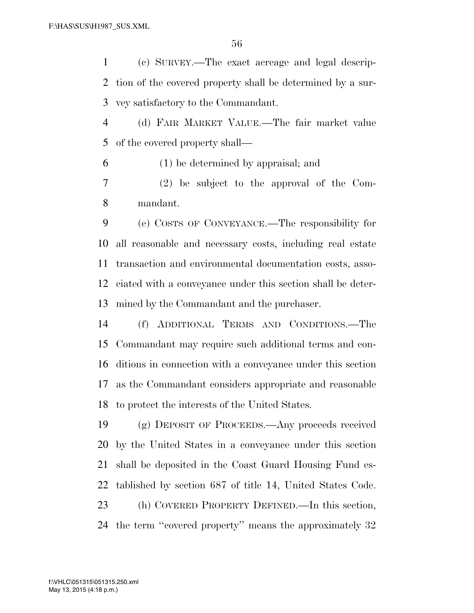(c) SURVEY.—The exact acreage and legal descrip- tion of the covered property shall be determined by a sur-vey satisfactory to the Commandant.

 (d) FAIR MARKET VALUE.—The fair market value of the covered property shall—

(1) be determined by appraisal; and

 (2) be subject to the approval of the Com-mandant.

 (e) COSTS OF CONVEYANCE.—The responsibility for all reasonable and necessary costs, including real estate transaction and environmental documentation costs, asso- ciated with a conveyance under this section shall be deter-mined by the Commandant and the purchaser.

 (f) ADDITIONAL TERMS AND CONDITIONS.—The Commandant may require such additional terms and con- ditions in connection with a conveyance under this section as the Commandant considers appropriate and reasonable to protect the interests of the United States.

 (g) DEPOSIT OF PROCEEDS.—Any proceeds received by the United States in a conveyance under this section shall be deposited in the Coast Guard Housing Fund es- tablished by section 687 of title 14, United States Code. (h) COVERED PROPERTY DEFINED.—In this section, the term ''covered property'' means the approximately 32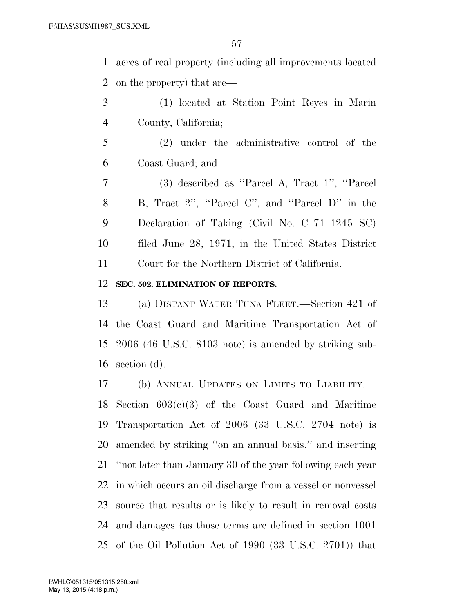acres of real property (including all improvements located on the property) that are—

 (1) located at Station Point Reyes in Marin County, California;

 (2) under the administrative control of the Coast Guard; and

 (3) described as ''Parcel A, Tract 1'', ''Parcel 8 B, Tract 2", "Parcel C", and "Parcel D" in the Declaration of Taking (Civil No. C–71–1245 SC) filed June 28, 1971, in the United States District Court for the Northern District of California.

### **SEC. 502. ELIMINATION OF REPORTS.**

 (a) DISTANT WATER TUNA FLEET.—Section 421 of the Coast Guard and Maritime Transportation Act of 2006 (46 U.S.C. 8103 note) is amended by striking sub-section (d).

 (b) ANNUAL UPDATES ON LIMITS TO LIABILITY.— Section 603(c)(3) of the Coast Guard and Maritime Transportation Act of 2006 (33 U.S.C. 2704 note) is amended by striking ''on an annual basis.'' and inserting ''not later than January 30 of the year following each year in which occurs an oil discharge from a vessel or nonvessel source that results or is likely to result in removal costs and damages (as those terms are defined in section 1001 of the Oil Pollution Act of 1990 (33 U.S.C. 2701)) that

May 13, 2015 (4:18 p.m.) f:\VHLC\051315\051315.250.xml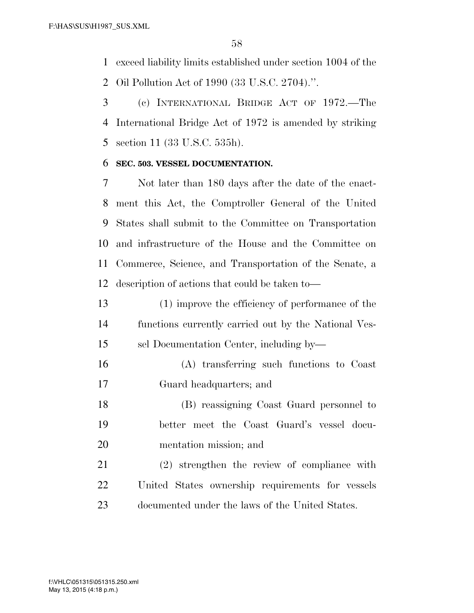exceed liability limits established under section 1004 of the

Oil Pollution Act of 1990 (33 U.S.C. 2704).''.

 (c) INTERNATIONAL BRIDGE ACT OF 1972.—The International Bridge Act of 1972 is amended by striking section 11 (33 U.S.C. 535h).

### **SEC. 503. VESSEL DOCUMENTATION.**

 Not later than 180 days after the date of the enact- ment this Act, the Comptroller General of the United States shall submit to the Committee on Transportation and infrastructure of the House and the Committee on Commerce, Science, and Transportation of the Senate, a description of actions that could be taken to—

- (1) improve the efficiency of performance of the functions currently carried out by the National Ves-sel Documentation Center, including by—
- (A) transferring such functions to Coast Guard headquarters; and
- (B) reassigning Coast Guard personnel to better meet the Coast Guard's vessel docu-mentation mission; and
- (2) strengthen the review of compliance with United States ownership requirements for vessels documented under the laws of the United States.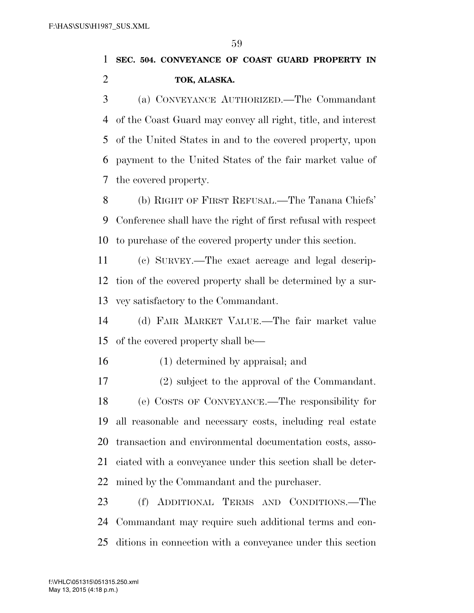# **SEC. 504. CONVEYANCE OF COAST GUARD PROPERTY IN TOK, ALASKA.**

 (a) CONVEYANCE AUTHORIZED.—The Commandant of the Coast Guard may convey all right, title, and interest of the United States in and to the covered property, upon payment to the United States of the fair market value of the covered property.

 (b) RIGHT OF FIRST REFUSAL.—The Tanana Chiefs' Conference shall have the right of first refusal with respect to purchase of the covered property under this section.

 (c) SURVEY.—The exact acreage and legal descrip- tion of the covered property shall be determined by a sur-vey satisfactory to the Commandant.

 (d) FAIR MARKET VALUE.—The fair market value of the covered property shall be—

(1) determined by appraisal; and

 (2) subject to the approval of the Commandant. (e) COSTS OF CONVEYANCE.—The responsibility for all reasonable and necessary costs, including real estate transaction and environmental documentation costs, asso- ciated with a conveyance under this section shall be deter-mined by the Commandant and the purchaser.

 (f) ADDITIONAL TERMS AND CONDITIONS.—The Commandant may require such additional terms and con-ditions in connection with a conveyance under this section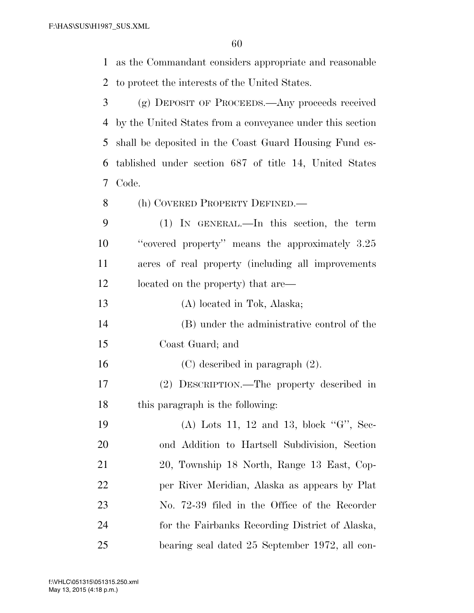as the Commandant considers appropriate and reasonable to protect the interests of the United States.

 (g) DEPOSIT OF PROCEEDS.—Any proceeds received by the United States from a conveyance under this section shall be deposited in the Coast Guard Housing Fund es- tablished under section 687 of title 14, United States Code.

(h) COVERED PROPERTY DEFINED.—

 (1) IN GENERAL.—In this section, the term ''covered property'' means the approximately 3.25 acres of real property (including all improvements located on the property) that are—

 (A) located in Tok, Alaska; (B) under the administrative control of the Coast Guard; and

 (C) described in paragraph (2). (2) DESCRIPTION.—The property described in this paragraph is the following:

19 (A) Lots 11, 12 and 13, block "G", Sec- ond Addition to Hartsell Subdivision, Section 20, Township 18 North, Range 13 East, Cop- per River Meridian, Alaska as appears by Plat No. 72-39 filed in the Office of the Recorder for the Fairbanks Recording District of Alaska, bearing seal dated 25 September 1972, all con-

May 13, 2015 (4:18 p.m.) f:\VHLC\051315\051315.250.xml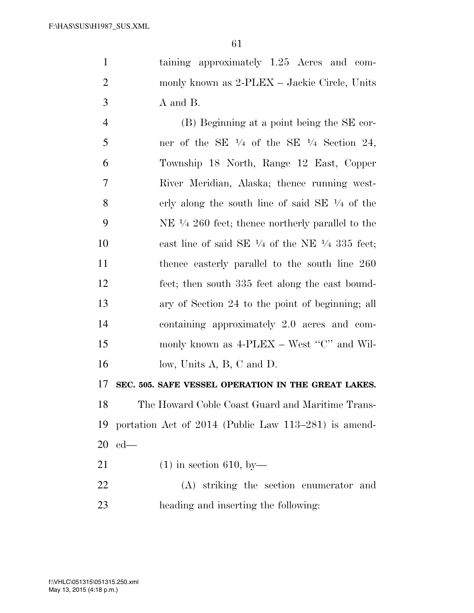taining approximately 1.25 Acres and com- monly known as 2-PLEX – Jackie Circle, Units A and B.

 (B) Beginning at a point being the SE cor-5 ner of the SE  $\frac{1}{4}$  of the SE  $\frac{1}{4}$  Section 24, Township 18 North, Range 12 East, Copper River Meridian, Alaska; thence running west-8 erly along the south line of said SE  $\frac{1}{4}$  of the 9 NE  $\frac{1}{4}$  260 feet; thence northerly parallel to the 10 east line of said SE  $\frac{1}{4}$  of the NE  $\frac{1}{4}$  335 feet; thence easterly parallel to the south line 260 feet; then south 335 feet along the east bound- ary of Section 24 to the point of beginning; all containing approximately 2.0 acres and com-15 monly known as 4-PLEX – West "C" and Wil-16 low, Units A, B, C and D.

**SEC. 505. SAFE VESSEL OPERATION IN THE GREAT LAKES.** 

 The Howard Coble Coast Guard and Maritime Trans- portation Act of 2014 (Public Law 113–281) is amend-ed—

- (1) in section 610, by—
- (A) striking the section enumerator and heading and inserting the following: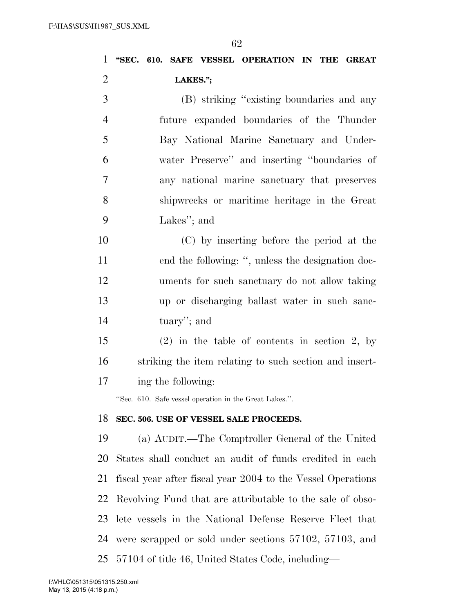| $\mathbf{1}$   | "SEC. 610. SAFE VESSEL OPERATION IN THE GREAT               |
|----------------|-------------------------------------------------------------|
| $\overline{2}$ | LAKES.";                                                    |
| 3              | (B) striking "existing boundaries and any                   |
| $\overline{4}$ | future expanded boundaries of the Thunder                   |
| 5              | Bay National Marine Sanctuary and Under-                    |
| 6              | water Preserve" and inserting "boundaries of                |
| 7              | any national marine sanctuary that preserves                |
| 8              | shipwrecks or maritime heritage in the Great                |
| 9              | Lakes"; and                                                 |
| 10             | (C) by inserting before the period at the                   |
| 11             | end the following: ", unless the designation doc-           |
| 12             | uments for such sanctuary do not allow taking               |
| 13             | up or discharging ballast water in such sanc-               |
| 14             | tuary"; and                                                 |
| 15             | $(2)$ in the table of contents in section 2, by             |
| 16             | striking the item relating to such section and insert-      |
| 17             | ing the following:                                          |
|                | "Sec. 610. Safe vessel operation in the Great Lakes.".      |
| 18             | SEC. 506. USE OF VESSEL SALE PROCEEDS.                      |
| 19             | (a) AUDIT.—The Comptroller General of the United            |
| 20             | States shall conduct an audit of funds credited in each     |
| 21             | fiscal year after fiscal year 2004 to the Vessel Operations |
| 22             | Revolving Fund that are attributable to the sale of obso-   |
| 23             | lete vessels in the National Defense Reserve Fleet that     |
| 24             | were scrapped or sold under sections 57102, 57103, and      |
| 25             | 57104 of title 46, United States Code, including—           |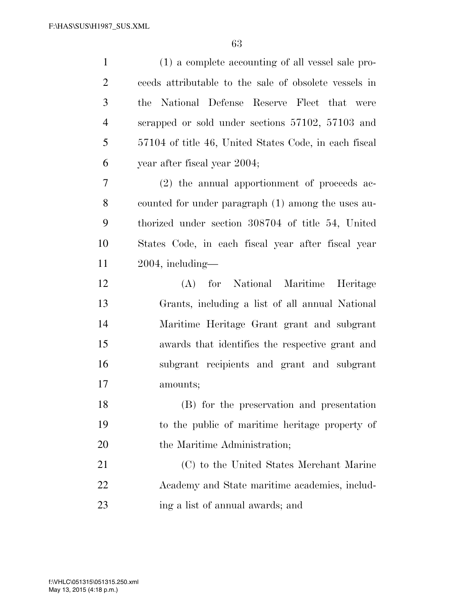| $\mathbf{1}$   | (1) a complete accounting of all vessel sale pro-     |
|----------------|-------------------------------------------------------|
| $\overline{2}$ | ceeds attributable to the sale of obsolete vessels in |
| 3              | the National Defense Reserve Fleet that were          |
| $\overline{4}$ | scrapped or sold under sections 57102, 57103 and      |
| 5              | 57104 of title 46, United States Code, in each fiscal |
| 6              | year after fiscal year 2004;                          |
| 7              | (2) the annual apportionment of proceeds ac-          |
| 8              | counted for under paragraph (1) among the uses au-    |
| 9              | thorized under section 308704 of title 54, United     |
| 10             | States Code, in each fiscal year after fiscal year    |
| 11             | $2004$ , including—                                   |
| 12             | (A) for National Maritime Heritage                    |
| 13             | Grants, including a list of all annual National       |
| 14             | Maritime Heritage Grant grant and subgrant            |
| 15             | awards that identifies the respective grant and       |
| 16             | subgrant recipients and grant and subgrant            |
| 17             | amounts;                                              |
| 18             | (B) for the preservation and presentation             |
| 19             | to the public of maritime heritage property of        |
| 20             | the Maritime Administration;                          |
| 21             | (C) to the United States Merchant Marine              |
| 22             | Academy and State maritime academies, includ-         |
| 23             | ing a list of annual awards; and                      |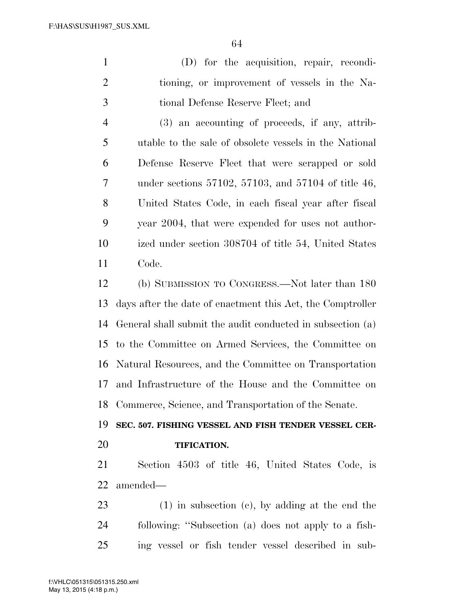(D) for the acquisition, repair, recondi- tioning, or improvement of vessels in the Na-tional Defense Reserve Fleet; and

 (3) an accounting of proceeds, if any, attrib- utable to the sale of obsolete vessels in the National Defense Reserve Fleet that were scrapped or sold under sections 57102, 57103, and 57104 of title 46, United States Code, in each fiscal year after fiscal year 2004, that were expended for uses not author- ized under section 308704 of title 54, United States Code.

 (b) SUBMISSION TO CONGRESS.—Not later than 180 days after the date of enactment this Act, the Comptroller General shall submit the audit conducted in subsection (a) to the Committee on Armed Services, the Committee on Natural Resources, and the Committee on Transportation and Infrastructure of the House and the Committee on Commerce, Science, and Transportation of the Senate.

**SEC. 507. FISHING VESSEL AND FISH TENDER VESSEL CER-**

## **TIFICATION.**

 Section 4503 of title 46, United States Code, is amended—

 (1) in subsection (c), by adding at the end the following: ''Subsection (a) does not apply to a fish-ing vessel or fish tender vessel described in sub-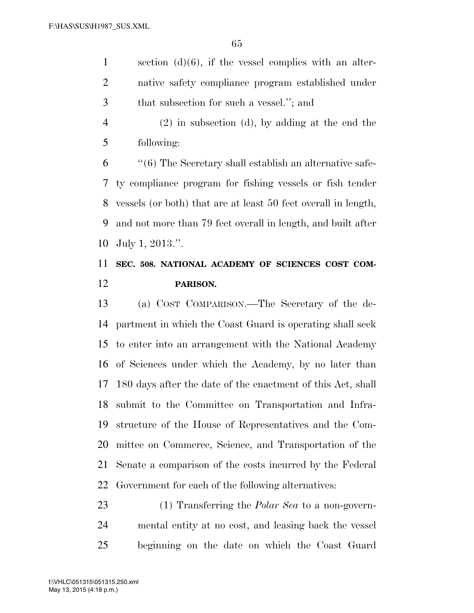section (d)(6), if the vessel complies with an alter- native safety compliance program established under that subsection for such a vessel.''; and

 (2) in subsection (d), by adding at the end the following:

 ''(6) The Secretary shall establish an alternative safe- ty compliance program for fishing vessels or fish tender vessels (or both) that are at least 50 feet overall in length, and not more than 79 feet overall in length, and built after July 1, 2013.''.

# **SEC. 508. NATIONAL ACADEMY OF SCIENCES COST COM-PARISON.**

 (a) COST COMPARISON.—The Secretary of the de- partment in which the Coast Guard is operating shall seek to enter into an arrangement with the National Academy of Sciences under which the Academy, by no later than 180 days after the date of the enactment of this Act, shall submit to the Committee on Transportation and Infra- structure of the House of Representatives and the Com- mittee on Commerce, Science, and Transportation of the Senate a comparison of the costs incurred by the Federal Government for each of the following alternatives:

 (1) Transferring the *Polar Sea* to a non-govern- mental entity at no cost, and leasing back the vessel beginning on the date on which the Coast Guard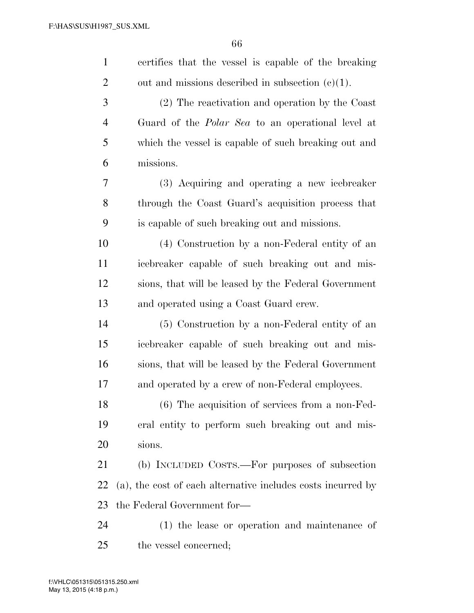| $\mathbf{1}$   | certifies that the vessel is capable of the breaking         |
|----------------|--------------------------------------------------------------|
| $\overline{2}$ | out and missions described in subsection $(c)(1)$ .          |
| 3              | (2) The reactivation and operation by the Coast              |
| $\overline{4}$ | Guard of the <i>Polar Sea</i> to an operational level at     |
| 5              | which the vessel is capable of such breaking out and         |
| 6              | missions.                                                    |
| 7              | (3) Acquiring and operating a new icebreaker                 |
| 8              | through the Coast Guard's acquisition process that           |
| 9              | is capable of such breaking out and missions.                |
| 10             | (4) Construction by a non-Federal entity of an               |
| 11             | icebreaker capable of such breaking out and mis-             |
| 12             | sions, that will be leased by the Federal Government         |
| 13             | and operated using a Coast Guard crew.                       |
| 14             | (5) Construction by a non-Federal entity of an               |
| 15             | icebreaker capable of such breaking out and mis-             |
| 16             | sions, that will be leased by the Federal Government         |
| 17             | and operated by a crew of non-Federal employees.             |
| 18             | $(6)$ The acquisition of services from a non-Fed-            |
| 19             | eral entity to perform such breaking out and mis-            |
| 20             | sions.                                                       |
| 21             | (b) INCLUDED COSTS.—For purposes of subsection               |
| 22             | (a), the cost of each alternative includes costs incurred by |
| 23             | the Federal Government for-                                  |
| 24             | (1) the lease or operation and maintenance of                |
| 25             | the vessel concerned;                                        |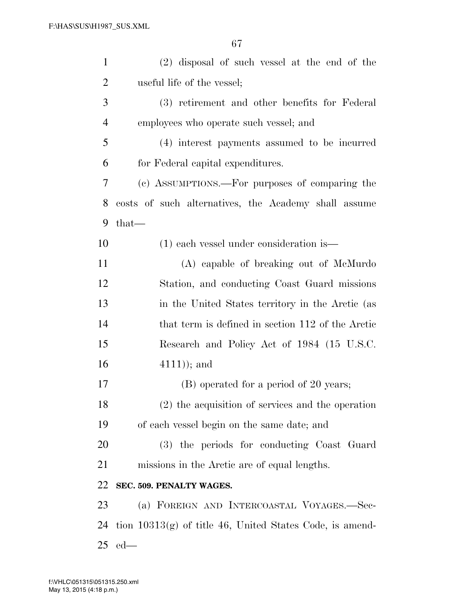| $\mathbf{1}$   | $(2)$ disposal of such vessel at the end of the            |
|----------------|------------------------------------------------------------|
| $\overline{2}$ | useful life of the vessel;                                 |
| 3              | (3) retirement and other benefits for Federal              |
| $\overline{4}$ | employees who operate such vessel; and                     |
| 5              | (4) interest payments assumed to be incurred               |
| 6              | for Federal capital expenditures.                          |
| 7              | (c) ASSUMPTIONS.—For purposes of comparing the             |
| 8              | costs of such alternatives, the Academy shall assume       |
| 9              | $that-$                                                    |
| 10             | $(1)$ each vessel under consideration is —                 |
| 11             | (A) capable of breaking out of McMurdo                     |
| 12             | Station, and conducting Coast Guard missions               |
| 13             | in the United States territory in the Arctic (as           |
| 14             | that term is defined in section 112 of the Arctic          |
| 15             | Research and Policy Act of 1984 (15 U.S.C.                 |
| 16             | $(4111)$ ; and                                             |
| 17             | (B) operated for a period of 20 years;                     |
| 18             | (2) the acquisition of services and the operation          |
| 19             | of each vessel begin on the same date; and                 |
| 20             | (3) the periods for conducting Coast Guard                 |
| 21             | missions in the Arctic are of equal lengths.               |
| 22             | SEC. 509. PENALTY WAGES.                                   |
| 23             | (a) FOREIGN AND INTERCOASTAL VOYAGES.-Sec-                 |
| 24             | tion $10313(g)$ of title 46, United States Code, is amend- |
| 25             | $ed$ —                                                     |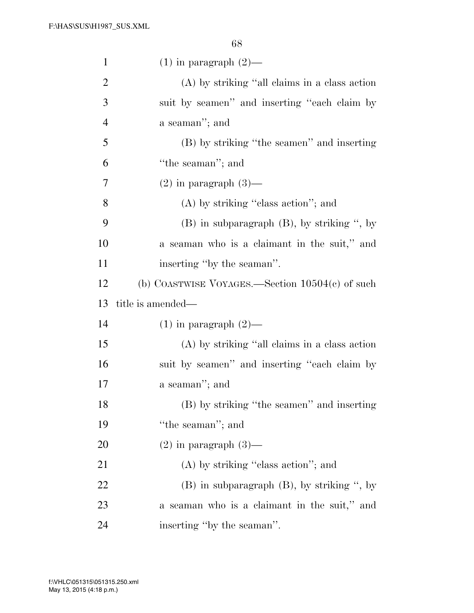| $\mathbf{1}$   | $(1)$ in paragraph $(2)$ —                        |
|----------------|---------------------------------------------------|
| $\overline{2}$ | (A) by striking "all claims in a class action     |
| 3              | suit by seamen" and inserting "each claim by      |
| $\overline{4}$ | a seaman"; and                                    |
| 5              | (B) by striking "the seamen" and inserting        |
| 6              | "the seaman"; and                                 |
| 7              | $(2)$ in paragraph $(3)$ —                        |
| 8              | $(A)$ by striking "class action"; and             |
| 9              | $(B)$ in subparagraph $(B)$ , by striking ", by   |
| 10             | a seaman who is a claimant in the suit," and      |
| 11             | inserting "by the seaman".                        |
| 12             | (b) COASTWISE VOYAGES.—Section $10504(c)$ of such |
|                |                                                   |
| 13             | title is amended—                                 |
| 14             | $(1)$ in paragraph $(2)$ —                        |
| 15             | (A) by striking "all claims in a class action     |
| 16             | suit by seamen" and inserting "each claim by      |
| 17             | a seaman"; and                                    |
| 18             | (B) by striking "the seamen" and inserting        |
| 19             | "the seaman"; and                                 |
| 20             | $(2)$ in paragraph $(3)$ —                        |
| 21             | $(A)$ by striking "class action"; and             |
| 22             | $(B)$ in subparagraph $(B)$ , by striking ", by   |
| 23             | a seaman who is a claimant in the suit," and      |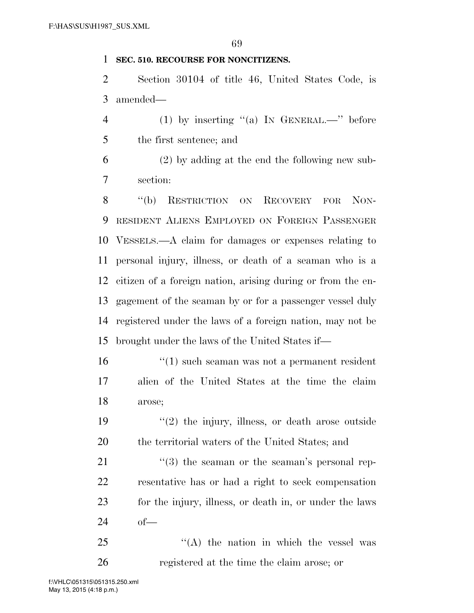### **SEC. 510. RECOURSE FOR NONCITIZENS.**

 Section 30104 of title 46, United States Code, is amended—

4 (1) by inserting  $(4)$  In GENERAL.—" before the first sentence; and

 (2) by adding at the end the following new sub-section:

8 "(b) RESTRICTION ON RECOVERY FOR NON- RESIDENT ALIENS EMPLOYED ON FOREIGN PASSENGER VESSELS.—A claim for damages or expenses relating to personal injury, illness, or death of a seaman who is a citizen of a foreign nation, arising during or from the en- gagement of the seaman by or for a passenger vessel duly registered under the laws of a foreign nation, may not be brought under the laws of the United States if—

 ''(1) such seaman was not a permanent resident alien of the United States at the time the claim arose;

19  $\frac{1}{2}$  the injury, illness, or death arose outside the territorial waters of the United States; and

21 ''(3) the seaman or the seaman's personal rep- resentative has or had a right to seek compensation for the injury, illness, or death in, or under the laws of—

 "(A) the nation in which the vessel was registered at the time the claim arose; or

May 13, 2015 (4:18 p.m.) f:\VHLC\051315\051315.250.xml